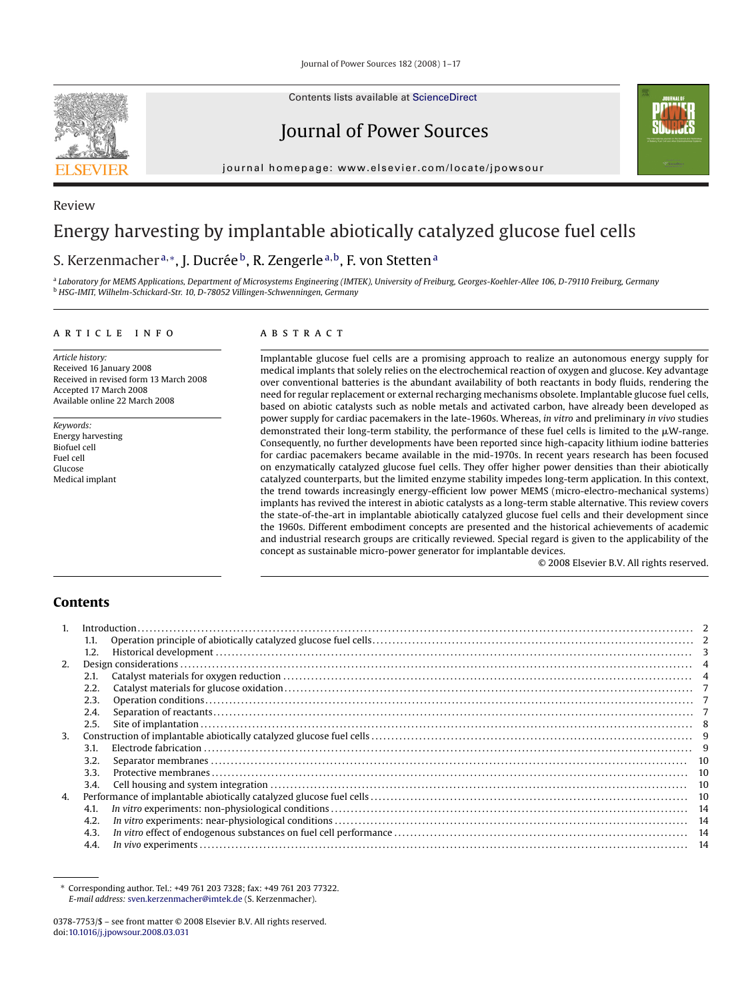Journal of Power Sources 182 (2008) 1–17



Review

Contents lists available at [ScienceDirect](http://www.sciencedirect.com/science/journal/03787753)

# Journal of Power Sources



# Energy harvesting by implantable abiotically catalyzed glucose fuel cells

# S. Kerzenmacher<sup>a,∗</sup>, J. Ducrée<sup>b</sup>, R. Zengerle<sup>a,b</sup>, F. von Stetten<sup>a</sup>

<sup>a</sup> *Laboratory for MEMS Applications, Department of Microsystems Engineering (IMTEK), University of Freiburg, Georges-Koehler-Allee 106, D-79110 Freiburg, Germany* <sup>b</sup> *HSG-IMIT, Wilhelm-Schickard-Str. 10, D-78052 Villingen-Schwenningen, Germany*

# article info

*Article history:* Received 16 January 2008 Received in revised form 13 March 2008 Accepted 17 March 2008 Available online 22 March 2008

*Keywords:* Energy harvesting Biofuel cell Fuel cell Glucose Medical implant

# A B S T R A C T

Implantable glucose fuel cells are a promising approach to realize an autonomous energy supply for medical implants that solely relies on the electrochemical reaction of oxygen and glucose. Key advantage over conventional batteries is the abundant availability of both reactants in body fluids, rendering the need for regular replacement or external recharging mechanisms obsolete. Implantable glucose fuel cells, based on abiotic catalysts such as noble metals and activated carbon, have already been developed as power supply for cardiac pacemakers in the late-1960s. Whereas, *in vitro* and preliminary *in vivo* studies demonstrated their long-term stability, the performance of these fuel cells is limited to the  $\mu$ W-range. Consequently, no further developments have been reported since high-capacity lithium iodine batteries for cardiac pacemakers became available in the mid-1970s. In recent years research has been focused on enzymatically catalyzed glucose fuel cells. They offer higher power densities than their abiotically catalyzed counterparts, but the limited enzyme stability impedes long-term application. In this context, the trend towards increasingly energy-efficient low power MEMS (micro-electro-mechanical systems) implants has revived the interest in abiotic catalysts as a long-term stable alternative. This review covers the state-of-the-art in implantable abiotically catalyzed glucose fuel cells and their development since the 1960s. Different embodiment concepts are presented and the historical achievements of academic and industrial research groups are critically reviewed. Special regard is given to the applicability of the concept as sustainable micro-power generator for implantable devices.

© 2008 Elsevier B.V. All rights reserved.

# **Contents**

|    |      | Introduction. |  |  |  |
|----|------|---------------|--|--|--|
|    | 1.1. |               |  |  |  |
|    | 1.2. |               |  |  |  |
| 2. |      |               |  |  |  |
|    | 2.1. |               |  |  |  |
|    | 2.2. |               |  |  |  |
|    | 2.3. |               |  |  |  |
|    | 2.4. |               |  |  |  |
|    | 2.5. |               |  |  |  |
| 3. |      |               |  |  |  |
|    | 3.1. |               |  |  |  |
|    | 3.2. |               |  |  |  |
|    | 3.3. |               |  |  |  |
|    | 3.4. |               |  |  |  |
| 4. |      |               |  |  |  |
|    | 4.1. |               |  |  |  |
|    | 4.2. |               |  |  |  |
|    | 4.3. |               |  |  |  |
|    | 4.4. |               |  |  |  |

<sup>∗</sup> Corresponding author. Tel.: +49 761 203 7328; fax: +49 761 203 77322. *E-mail address:* [sven.kerzenmacher@imtek.de](mailto:sven.kerzenmacher@imtek.de) (S. Kerzenmacher).

<sup>0378-7753/\$ –</sup> see front matter © 2008 Elsevier B.V. All rights reserved. doi[:10.1016/j.jpowsour.2008.03.031](dx.doi.org/10.1016/j.jpowsour.2008.03.031)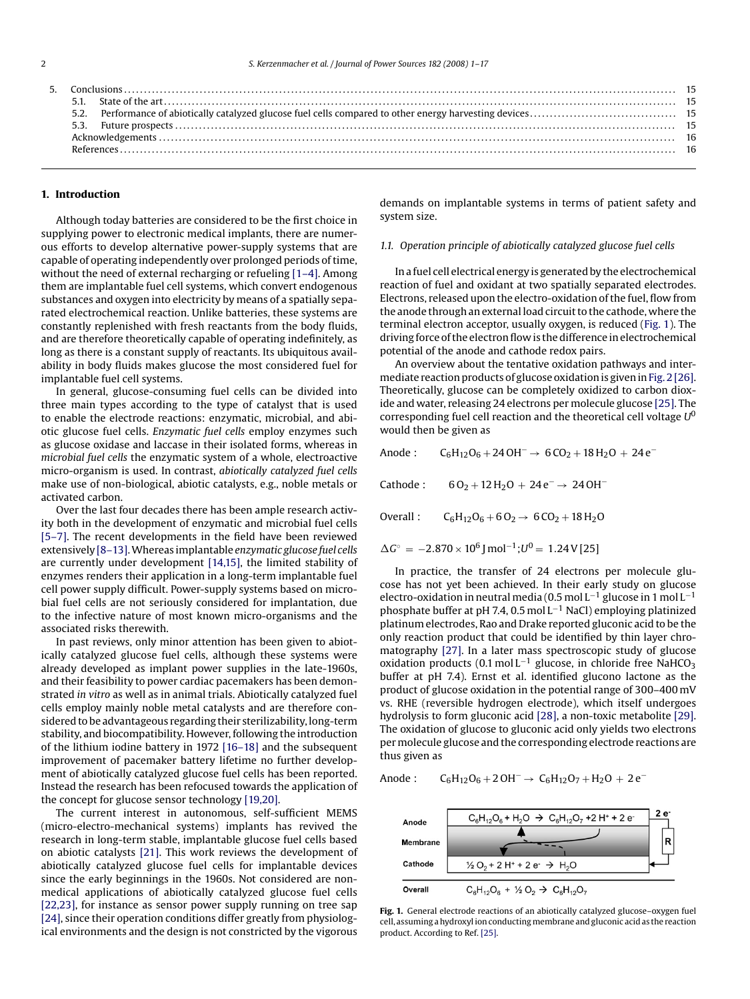|  | Conclusions 15 |  |  |  |  |  |
|--|----------------|--|--|--|--|--|
|  |                |  |  |  |  |  |
|  |                |  |  |  |  |  |
|  |                |  |  |  |  |  |
|  |                |  |  |  |  |  |
|  |                |  |  |  |  |  |
|  |                |  |  |  |  |  |
|  |                |  |  |  |  |  |

#### **1. Introduction**

Although today batteries are considered to be the first choice in supplying power to electronic medical implants, there are numerous efforts to develop alternative power-supply systems that are capable of operating independently over prolonged periods of time, without the need of external recharging or refueling [\[1–4\]. A](#page-15-0)mong them are implantable fuel cell systems, which convert endogenous substances and oxygen into electricity by means of a spatially separated electrochemical reaction. Unlike batteries, these systems are constantly replenished with fresh reactants from the body fluids, and are therefore theoretically capable of operating indefinitely, as long as there is a constant supply of reactants. Its ubiquitous availability in body fluids makes glucose the most considered fuel for implantable fuel cell systems.

In general, glucose-consuming fuel cells can be divided into three main types according to the type of catalyst that is used to enable the electrode reactions: enzymatic, microbial, and abiotic glucose fuel cells. *Enzymatic fuel cells* employ enzymes such as glucose oxidase and laccase in their isolated forms, whereas in *microbial fuel cells* the enzymatic system of a whole, electroactive micro-organism is used. In contrast, *abiotically catalyzed fuel cells* make use of non-biological, abiotic catalysts, e.g., noble metals or activated carbon.

Over the last four decades there has been ample research activity both in the development of enzymatic and microbial fuel cells [\[5–7\].](#page-15-0) The recent developments in the field have been reviewed extensively [\[8–13\].W](#page-15-0)hereas implantable *enzymatic glucose fuel cells* are currently under development [\[14,15\], t](#page-15-0)he limited stability of enzymes renders their application in a long-term implantable fuel cell power supply difficult. Power-supply systems based on microbial fuel cells are not seriously considered for implantation, due to the infective nature of most known micro-organisms and the associated risks therewith.

In past reviews, only minor attention has been given to abiotically catalyzed glucose fuel cells, although these systems were already developed as implant power supplies in the late-1960s, and their feasibility to power cardiac pacemakers has been demonstrated *in vitro* as well as in animal trials. Abiotically catalyzed fuel cells employ mainly noble metal catalysts and are therefore considered to be advantageous regarding their sterilizability, long-term stability, and biocompatibility. However, following the introduction of the lithium iodine battery in 1972 [\[16–18\]](#page-15-0) and the subsequent improvement of pacemaker battery lifetime no further development of abiotically catalyzed glucose fuel cells has been reported. Instead the research has been refocused towards the application of the concept for glucose sensor technology [\[19,20\].](#page-15-0)

The current interest in autonomous, self-sufficient MEMS (micro-electro-mechanical systems) implants has revived the research in long-term stable, implantable glucose fuel cells based on abiotic catalysts [\[21\].](#page-15-0) This work reviews the development of abiotically catalyzed glucose fuel cells for implantable devices since the early beginnings in the 1960s. Not considered are nonmedical applications of abiotically catalyzed glucose fuel cells [\[22,23\], f](#page-15-0)or instance as sensor power supply running on tree sap [\[24\], s](#page-15-0)ince their operation conditions differ greatly from physiological environments and the design is not constricted by the vigorous

demands on implantable systems in terms of patient safety and system size.

#### *1.1. Operation principle of abiotically catalyzed glucose fuel cells*

In a fuel cell electrical energy is generated by the electrochemical reaction of fuel and oxidant at two spatially separated electrodes. Electrons, released upon the electro-oxidation of the fuel, flow from the anode through an external load circuit to the cathode, where the terminal electron acceptor, usually oxygen, is reduced (Fig. 1). The driving force of the electron flow is the difference in electrochemical potential of the anode and cathode redox pairs.

An overview about the tentative oxidation pathways and inter-mediate reaction products of glucose oxidation is given in [Fig. 2 \[](#page-2-0)[26\].](#page-15-0) Theoretically, glucose can be completely oxidized to carbon dioxide and water, releasing 24 electrons per molecule glucose [\[25\]. T](#page-15-0)he corresponding fuel cell reaction and the theoretical cell voltage *U*<sup>0</sup> would then be given as

Anode :  $C_6H_{12}O_6 + 24 O H^{-} \rightarrow 6 CO_2 + 18 H_2O + 24 e^{-}$ 

Cathode : 6 O<sub>2</sub> + 12 H<sub>2</sub>O + 24 e<sup>−</sup> → 24 OH<sup>−</sup>

Overall :  $C_6H_{12}O_6 + 6O_2 \rightarrow 6CO_2 + 18H_2O$ 

$$
\Delta G^{\circ} = -2.870 \times 10^{6} \text{ J} \text{ mol}^{-1}; U^{0} = 1.24 \text{ V} [25]
$$

In practice, the transfer of 24 electrons per molecule glucose has not yet been achieved. In their early study on glucose electro-oxidation in neutral media (0.5 mol L<sup>-1</sup> glucose in 1 mol L<sup>-1</sup> phosphate buffer at pH 7.4, 0.5 mol L−<sup>1</sup> NaCl) employing platinized platinum electrodes, Rao and Drake reported gluconic acid to be the only reaction product that could be identified by thin layer chromatography [\[27\].](#page-15-0) In a later mass spectroscopic study of glucose oxidation products (0.1 mol L<sup>-1</sup> glucose, in chloride free NaHCO<sub>3</sub> buffer at pH 7.4). Ernst et al. identified glucono lactone as the product of glucose oxidation in the potential range of 300–400 mV vs. RHE (reversible hydrogen electrode), which itself undergoes hydrolysis to form gluconic acid [\[28\], a](#page-15-0) non-toxic metabolite [\[29\].](#page-15-0) The oxidation of glucose to gluconic acid only yields two electrons per molecule glucose and the corresponding electrode reactions are thus given as

$$
Anode: \qquad C_6H_{12}O_6 + 2OH^- \rightarrow \ C_6H_{12}O_7 + H_2O + 2e^-
$$



**Fig. 1.** General electrode reactions of an abiotically catalyzed glucose–oxygen fuel cell, assuming a hydroxyl ion conductingmembrane and gluconic acid as the reaction product. According to Ref. [\[25\].](#page-15-0)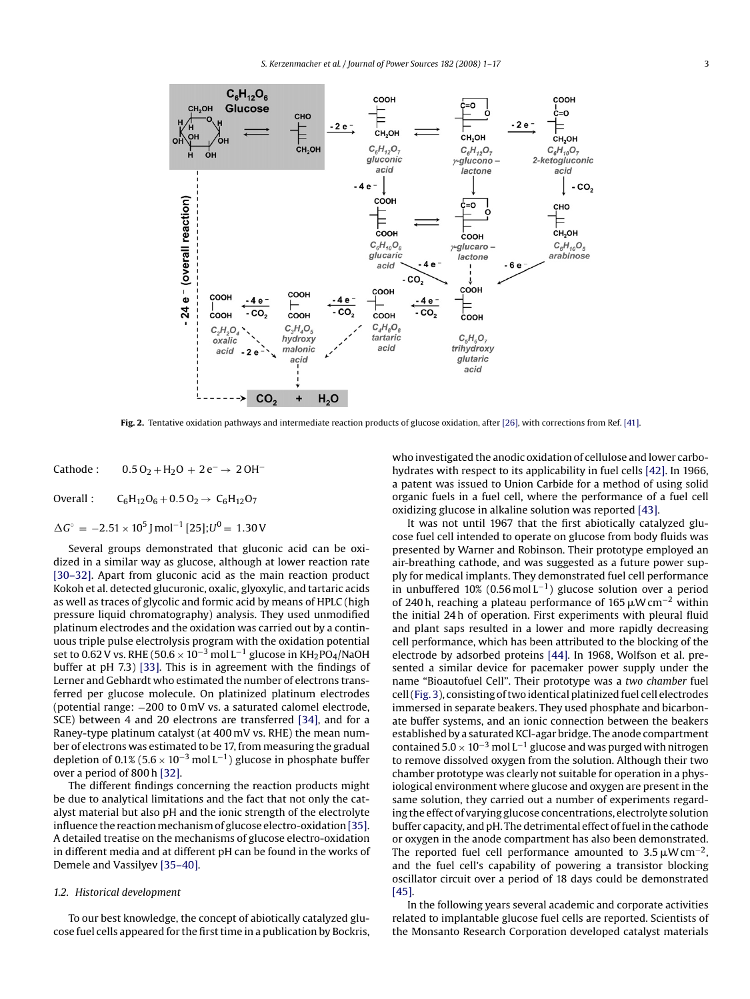<span id="page-2-0"></span>

**Fig. 2.** Tentative oxidation pathways and intermediate reaction products of glucose oxidation, after [\[26\], w](#page-15-0)ith corrections from Ref. [\[41\].](#page-15-0)

Cathode :  $0.5 O_2 + H_2O + 2e^- \rightarrow 2OH^-$ 

Overall :  $C_6H_{12}O_6 + 0.5 O_2 \rightarrow C_6H_{12}O_7$ 

 $\Delta G$ ° = −2.51 × 10<sup>5</sup> J mol<sup>-1</sup> [25]; $U^0$  = 1.30 V

Several groups demonstrated that gluconic acid can be oxidized in a similar way as glucose, although at lower reaction rate [\[30–32\].](#page-15-0) Apart from gluconic acid as the main reaction product Kokoh et al. detected glucuronic, oxalic, glyoxylic, and tartaric acids as well as traces of glycolic and formic acid by means of HPLC (high pressure liquid chromatography) analysis. They used unmodified platinum electrodes and the oxidation was carried out by a continuous triple pulse electrolysis program with the oxidation potential set to 0.62 V vs. RHE (50.6  $\times$  10<sup>-3</sup> mol L<sup>-1</sup> glucose in KH<sub>2</sub>PO<sub>4</sub>/NaOH buffer at pH 7.3) [\[33\].](#page-15-0) This is in agreement with the findings of Lerner and Gebhardt who estimated the number of electrons transferred per glucose molecule. On platinized platinum electrodes (potential range: −200 to 0 mV vs. a saturated calomel electrode, SCE) between 4 and 20 electrons are transferred [\[34\],](#page-15-0) and for a Raney-type platinum catalyst (at 400 mV vs. RHE) the mean number of electrons was estimated to be 17, from measuring the gradual depletion of 0.1% (5.6 × 10<sup>-3</sup> mol L<sup>-1</sup>) glucose in phosphate buffer over a period of 800 h [\[32\].](#page-15-0)

The different findings concerning the reaction products might be due to analytical limitations and the fact that not only the catalyst material but also pH and the ionic strength of the electrolyte influence the reaction mechanism of glucose electro-oxidation [\[35\].](#page-15-0) A detailed treatise on the mechanisms of glucose electro-oxidation in different media and at different pH can be found in the works of Demele and Vassilyev [\[35–40\].](#page-15-0)

# *1.2. Historical development*

To our best knowledge, the concept of abiotically catalyzed glucose fuel cells appeared for the first time in a publication by Bockris, who investigated the anodic oxidation of cellulose and lower carbohydrates with respect to its applicability in fuel cells [\[42\]. I](#page-15-0)n 1966, a patent was issued to Union Carbide for a method of using solid organic fuels in a fuel cell, where the performance of a fuel cell oxidizing glucose in alkaline solution was reported [\[43\].](#page-15-0)

It was not until 1967 that the first abiotically catalyzed glucose fuel cell intended to operate on glucose from body fluids was presented by Warner and Robinson. Their prototype employed an air-breathing cathode, and was suggested as a future power supply for medical implants. They demonstrated fuel cell performance in unbuffered 10% (0.56 mol L<sup>-1</sup>) glucose solution over a period of 240 h, reaching a plateau performance of 165  $\mu$ W cm<sup>-2</sup> within the initial 24 h of operation. First experiments with pleural fluid and plant saps resulted in a lower and more rapidly decreasing cell performance, which has been attributed to the blocking of the electrode by adsorbed proteins [\[44\]. I](#page-15-0)n 1968, Wolfson et al. presented a similar device for pacemaker power supply under the name "Bioautofuel Cell". Their prototype was a *two chamber* fuel cell [\(Fig. 3\),](#page-3-0) consisting of two identical platinized fuel cell electrodes immersed in separate beakers. They used phosphate and bicarbonate buffer systems, and an ionic connection between the beakers established by a saturated KCl-agar bridge. The anode compartment contained  $5.0 \times 10^{-3}$  mol L<sup>-1</sup> glucose and was purged with nitrogen to remove dissolved oxygen from the solution. Although their two chamber prototype was clearly not suitable for operation in a physiological environment where glucose and oxygen are present in the same solution, they carried out a number of experiments regarding the effect of varying glucose concentrations, electrolyte solution buffer capacity, and pH. The detrimental effect of fuel in the cathode or oxygen in the anode compartment has also been demonstrated. The reported fuel cell performance amounted to  $3.5 \mu W cm^{-2}$ , and the fuel cell's capability of powering a transistor blocking oscillator circuit over a period of 18 days could be demonstrated [\[45\].](#page-15-0)

In the following years several academic and corporate activities related to implantable glucose fuel cells are reported. Scientists of the Monsanto Research Corporation developed catalyst materials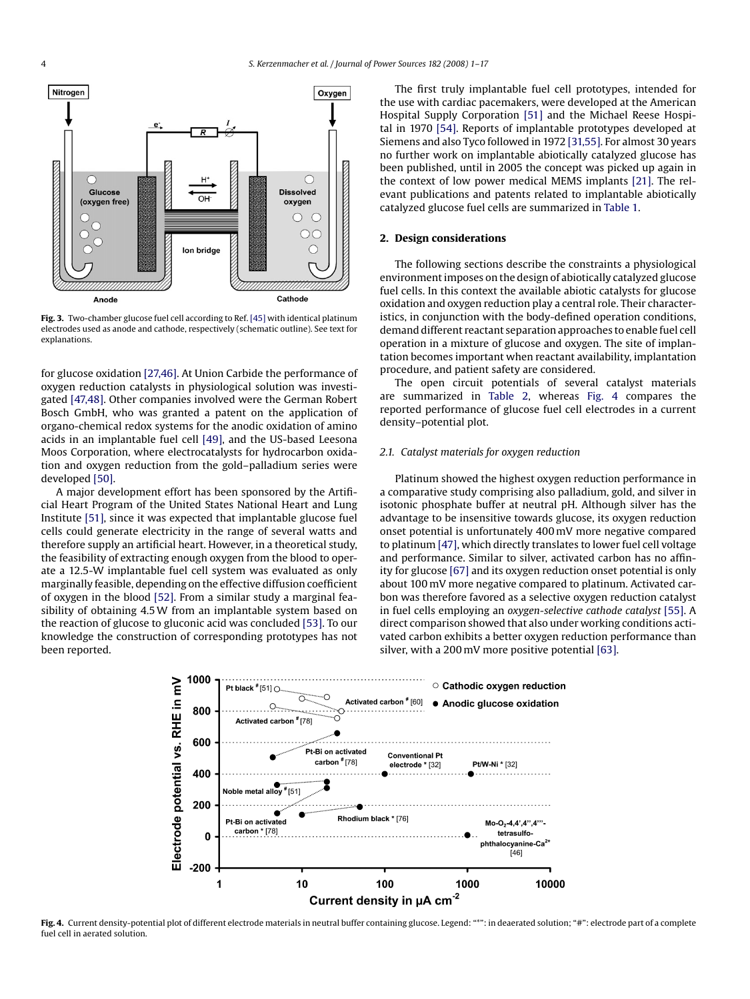<span id="page-3-0"></span>

**Fig. 3.** Two-chamber glucose fuel cell according to Ref. [\[45\]](#page-15-0) with identical platinum electrodes used as anode and cathode, respectively (schematic outline). See text for explanations.

for glucose oxidation [\[27,46\]. A](#page-15-0)t Union Carbide the performance of oxygen reduction catalysts in physiological solution was investigated [\[47,48\]. O](#page-15-0)ther companies involved were the German Robert Bosch GmbH, who was granted a patent on the application of organo-chemical redox systems for the anodic oxidation of amino acids in an implantable fuel cell [\[49\],](#page-15-0) and the US-based Leesona Moos Corporation, where electrocatalysts for hydrocarbon oxidation and oxygen reduction from the gold–palladium series were developed [\[50\].](#page-15-0)

A major development effort has been sponsored by the Artificial Heart Program of the United States National Heart and Lung Institute [\[51\], s](#page-15-0)ince it was expected that implantable glucose fuel cells could generate electricity in the range of several watts and therefore supply an artificial heart. However, in a theoretical study, the feasibility of extracting enough oxygen from the blood to operate a 12.5-W implantable fuel cell system was evaluated as only marginally feasible, depending on the effective diffusion coefficient of oxygen in the blood [\[52\]. F](#page-15-0)rom a similar study a marginal feasibility of obtaining 4.5W from an implantable system based on the reaction of glucose to gluconic acid was concluded [\[53\]. T](#page-15-0)o our knowledge the construction of corresponding prototypes has not been reported.

The first truly implantable fuel cell prototypes, intended for the use with cardiac pacemakers, were developed at the American Hospital Supply Corporation [\[51\]](#page-15-0) and the Michael Reese Hospital in 1970 [\[54\]. R](#page-15-0)eports of implantable prototypes developed at Siemens and also Tyco followed in 1972 [\[31,55\]. F](#page-15-0)or almost 30 years no further work on implantable abiotically catalyzed glucose has been published, until in 2005 the concept was picked up again in the context of low power medical MEMS implants [\[21\].](#page-15-0) The relevant publications and patents related to implantable abiotically catalyzed glucose fuel cells are summarized in [Table 1.](#page-4-0)

#### **2. Design considerations**

The following sections describe the constraints a physiological environment imposes on the design of abiotically catalyzed glucose fuel cells. In this context the available abiotic catalysts for glucose oxidation and oxygen reduction play a central role. Their characteristics, in conjunction with the body-defined operation conditions, demand different reactant separation approaches to enable fuel cell operation in a mixture of glucose and oxygen. The site of implantation becomes important when reactant availability, implantation procedure, and patient safety are considered.

The open circuit potentials of several catalyst materials are summarized in [Table 2,](#page-5-0) whereas Fig. 4 compares the reported performance of glucose fuel cell electrodes in a current density–potential plot.

#### *2.1. Catalyst materials for oxygen reduction*

Platinum showed the highest oxygen reduction performance in a comparative study comprising also palladium, gold, and silver in isotonic phosphate buffer at neutral pH. Although silver has the advantage to be insensitive towards glucose, its oxygen reduction onset potential is unfortunately 400 mV more negative compared to platinum [\[47\], w](#page-15-0)hich directly translates to lower fuel cell voltage and performance. Similar to silver, activated carbon has no affinity for glucose [\[67\]](#page-15-0) and its oxygen reduction onset potential is only about 100 mV more negative compared to platinum. Activated carbon was therefore favored as a selective oxygen reduction catalyst in fuel cells employing an *oxygen-selective cathode catalyst* [\[55\]. A](#page-15-0) direct comparison showed that also under working conditions activated carbon exhibits a better oxygen reduction performance than silver, with a 200 mV more positive potential [\[63\].](#page-15-0)



**Fig. 4.** Current density-potential plot of different electrode materials in neutral buffer containing glucose. Legend: "\*": in deaerated solution; "#": electrode part of a complete fuel cell in aerated solution.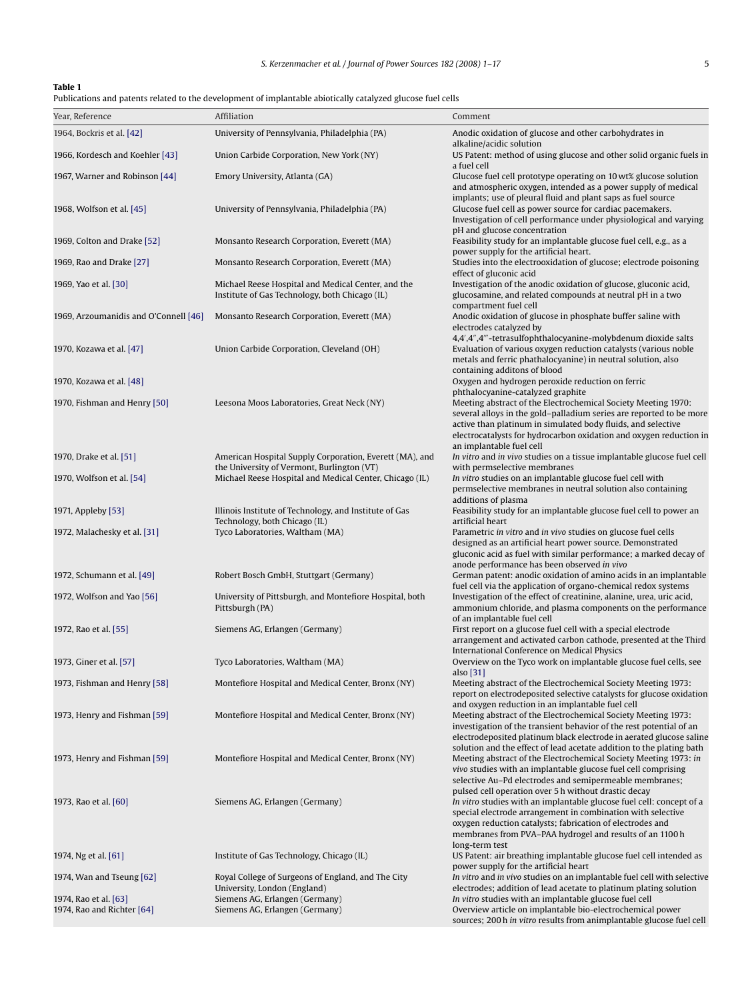#### <span id="page-4-0"></span>**Table 1**

Publications and patents related to the development of implantable abiotically catalyzed glucose fuel cells

| Year, Reference                                     | Affiliation                                                                                           | Comment                                                                                                                                                                                                                                                                                                              |
|-----------------------------------------------------|-------------------------------------------------------------------------------------------------------|----------------------------------------------------------------------------------------------------------------------------------------------------------------------------------------------------------------------------------------------------------------------------------------------------------------------|
| 1964, Bockris et al. [42]                           | University of Pennsylvania, Philadelphia (PA)                                                         | Anodic oxidation of glucose and other carbohydrates in                                                                                                                                                                                                                                                               |
| 1966, Kordesch and Koehler [43]                     | Union Carbide Corporation, New York (NY)                                                              | alkaline/acidic solution<br>US Patent: method of using glucose and other solid organic fuels in<br>a fuel cell                                                                                                                                                                                                       |
| 1967, Warner and Robinson [44]                      | Emory University, Atlanta (GA)                                                                        | Glucose fuel cell prototype operating on 10 wt% glucose solution<br>and atmospheric oxygen, intended as a power supply of medical                                                                                                                                                                                    |
| 1968, Wolfson et al. [45]                           | University of Pennsylvania, Philadelphia (PA)                                                         | implants; use of pleural fluid and plant saps as fuel source<br>Glucose fuel cell as power source for cardiac pacemakers.<br>Investigation of cell performance under physiological and varying                                                                                                                       |
| 1969, Colton and Drake [52]                         | Monsanto Research Corporation, Everett (MA)                                                           | pH and glucose concentration<br>Feasibility study for an implantable glucose fuel cell, e.g., as a<br>power supply for the artificial heart.                                                                                                                                                                         |
| 1969, Rao and Drake [27]                            | Monsanto Research Corporation, Everett (MA)                                                           | Studies into the electrooxidation of glucose; electrode poisoning<br>effect of gluconic acid                                                                                                                                                                                                                         |
| 1969, Yao et al. [30]                               | Michael Reese Hospital and Medical Center, and the<br>Institute of Gas Technology, both Chicago (IL)  | Investigation of the anodic oxidation of glucose, gluconic acid,<br>glucosamine, and related compounds at neutral pH in a two<br>compartment fuel cell                                                                                                                                                               |
| 1969, Arzoumanidis and O'Connell [46]               | Monsanto Research Corporation, Everett (MA)                                                           | Anodic oxidation of glucose in phosphate buffer saline with<br>electrodes catalyzed by<br>4,4",4"'-tetrasulfophthalocyanine-molybdenum dioxide salts                                                                                                                                                                 |
| 1970, Kozawa et al. [47]                            | Union Carbide Corporation, Cleveland (OH)                                                             | Evaluation of various oxygen reduction catalysts (various noble<br>metals and ferric phathalocyanine) in neutral solution, also<br>containing additons of blood                                                                                                                                                      |
| 1970, Kozawa et al. [48]                            |                                                                                                       | Oxygen and hydrogen peroxide reduction on ferric<br>phthalocyanine-catalyzed graphite                                                                                                                                                                                                                                |
| 1970, Fishman and Henry [50]                        | Leesona Moos Laboratories, Great Neck (NY)                                                            | Meeting abstract of the Electrochemical Society Meeting 1970:<br>several alloys in the gold-palladium series are reported to be more<br>active than platinum in simulated body fluids, and selective<br>electrocatalysts for hydrocarbon oxidation and oxygen reduction in<br>an implantable fuel cell               |
| 1970, Drake et al. [51]                             | American Hospital Supply Corporation, Everett (MA), and<br>the University of Vermont, Burlington (VT) | In vitro and in vivo studies on a tissue implantable glucose fuel cell<br>with permselective membranes                                                                                                                                                                                                               |
| 1970, Wolfson et al. [54]                           | Michael Reese Hospital and Medical Center, Chicago (IL)                                               | In vitro studies on an implantable glucose fuel cell with<br>permselective membranes in neutral solution also containing                                                                                                                                                                                             |
| 1971, Appleby [53]                                  | Illinois Institute of Technology, and Institute of Gas                                                | additions of plasma<br>Feasibility study for an implantable glucose fuel cell to power an                                                                                                                                                                                                                            |
| 1972, Malachesky et al. [31]                        | Technology, both Chicago (IL)<br>Tyco Laboratories, Waltham (MA)                                      | artificial heart<br>Parametric in vitro and in vivo studies on glucose fuel cells<br>designed as an artificial heart power source. Demonstrated<br>gluconic acid as fuel with similar performance; a marked decay of                                                                                                 |
| 1972, Schumann et al. [49]                          | Robert Bosch GmbH, Stuttgart (Germany)                                                                | anode performance has been observed in vivo<br>German patent: anodic oxidation of amino acids in an implantable                                                                                                                                                                                                      |
| 1972, Wolfson and Yao [56]                          | University of Pittsburgh, and Montefiore Hospital, both<br>Pittsburgh (PA)                            | fuel cell via the application of organo-chemical redox systems<br>Investigation of the effect of creatinine, alanine, urea, uric acid,<br>ammonium chloride, and plasma components on the performance                                                                                                                |
| 1972, Rao et al. [55]                               | Siemens AG, Erlangen (Germany)                                                                        | of an implantable fuel cell<br>First report on a glucose fuel cell with a special electrode<br>arrangement and activated carbon cathode, presented at the Third                                                                                                                                                      |
| 1973, Giner et al. [57]                             | Tyco Laboratories, Waltham (MA)                                                                       | International Conference on Medical Physics<br>Overview on the Tyco work on implantable glucose fuel cells, see                                                                                                                                                                                                      |
| 1973, Fishman and Henry [58]                        | Montefiore Hospital and Medical Center, Bronx (NY)                                                    | also [31]<br>Meeting abstract of the Electrochemical Society Meeting 1973:<br>report on electrodeposited selective catalysts for glucose oxidation                                                                                                                                                                   |
| 1973, Henry and Fishman [59]                        | Montefiore Hospital and Medical Center, Bronx (NY)                                                    | and oxygen reduction in an implantable fuel cell<br>Meeting abstract of the Electrochemical Society Meeting 1973:<br>investigation of the transient behavior of the rest potential of an<br>electrodeposited platinum black electrode in aerated glucose saline                                                      |
| 1973, Henry and Fishman [59]                        | Montefiore Hospital and Medical Center, Bronx (NY)                                                    | solution and the effect of lead acetate addition to the plating bath<br>Meeting abstract of the Electrochemical Society Meeting 1973: in<br>vivo studies with an implantable glucose fuel cell comprising<br>selective Au-Pd electrodes and semipermeable membranes;                                                 |
| 1973, Rao et al. [60]                               | Siemens AG, Erlangen (Germany)                                                                        | pulsed cell operation over 5 h without drastic decay<br>In vitro studies with an implantable glucose fuel cell: concept of a<br>special electrode arrangement in combination with selective<br>oxygen reduction catalysts; fabrication of electrodes and<br>membranes from PVA-PAA hydrogel and results of an 1100 h |
| 1974, Ng et al. [61]                                | Institute of Gas Technology, Chicago (IL)                                                             | long-term test<br>US Patent: air breathing implantable glucose fuel cell intended as                                                                                                                                                                                                                                 |
| 1974, Wan and Tseung $[62]$                         | Royal College of Surgeons of England, and The City<br>University, London (England)                    | power supply for the artificial heart<br>In vitro and in vivo studies on an implantable fuel cell with selective<br>electrodes; addition of lead acetate to platinum plating solution                                                                                                                                |
| 1974, Rao et al. [63]<br>1974, Rao and Richter [64] | Siemens AG, Erlangen (Germany)<br>Siemens AG, Erlangen (Germany)                                      | In vitro studies with an implantable glucose fuel cell<br>Overview article on implantable bio-electrochemical power<br>sources; 200 h in vitro results from animplantable glucose fuel cell                                                                                                                          |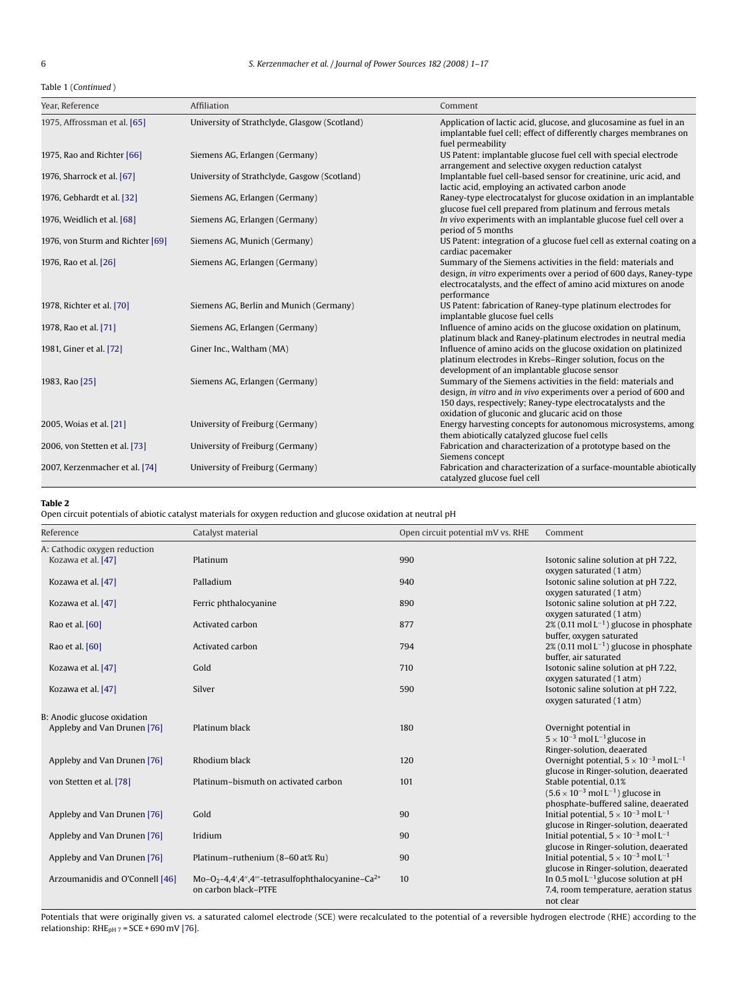<span id="page-5-0"></span>Table 1 (*Continued* )

| Year, Reference                  | Affiliation                                   | Comment                                                                                                                                                                                                                                               |
|----------------------------------|-----------------------------------------------|-------------------------------------------------------------------------------------------------------------------------------------------------------------------------------------------------------------------------------------------------------|
| 1975, Affrossman et al. [65]     | University of Strathclyde, Glasgow (Scotland) | Application of lactic acid, glucose, and glucosamine as fuel in an<br>implantable fuel cell; effect of differently charges membranes on<br>fuel permeability                                                                                          |
| 1975, Rao and Richter [66]       | Siemens AG, Erlangen (Germany)                | US Patent: implantable glucose fuel cell with special electrode<br>arrangement and selective oxygen reduction catalyst                                                                                                                                |
| 1976, Sharrock et al. [67]       | University of Strathclyde, Gasgow (Scotland)  | Implantable fuel cell-based sensor for creatinine, uric acid, and<br>lactic acid, employing an activated carbon anode                                                                                                                                 |
| 1976, Gebhardt et al. [32]       | Siemens AG, Erlangen (Germany)                | Raney-type electrocatalyst for glucose oxidation in an implantable<br>glucose fuel cell prepared from platinum and ferrous metals                                                                                                                     |
| 1976, Weidlich et al. [68]       | Siemens AG, Erlangen (Germany)                | In vivo experiments with an implantable glucose fuel cell over a<br>period of 5 months                                                                                                                                                                |
| 1976, von Sturm and Richter [69] | Siemens AG, Munich (Germany)                  | US Patent: integration of a glucose fuel cell as external coating on a<br>cardiac pacemaker                                                                                                                                                           |
| 1976, Rao et al. [26]            | Siemens AG, Erlangen (Germany)                | Summary of the Siemens activities in the field: materials and<br>design, in vitro experiments over a period of 600 days, Raney-type<br>electrocatalysts, and the effect of amino acid mixtures on anode<br>performance                                |
| 1978, Richter et al. [70]        | Siemens AG, Berlin and Munich (Germany)       | US Patent: fabrication of Raney-type platinum electrodes for<br>implantable glucose fuel cells                                                                                                                                                        |
| 1978, Rao et al. [71]            | Siemens AG, Erlangen (Germany)                | Influence of amino acids on the glucose oxidation on platinum,<br>platinum black and Raney-platinum electrodes in neutral media                                                                                                                       |
| 1981, Giner et al. [72]          | Giner Inc., Waltham (MA)                      | Influence of amino acids on the glucose oxidation on platinized<br>platinum electrodes in Krebs-Ringer solution, focus on the<br>development of an implantable glucose sensor                                                                         |
| 1983, Rao [25]                   | Siemens AG, Erlangen (Germany)                | Summary of the Siemens activities in the field: materials and<br>design, in vitro and in vivo experiments over a period of 600 and<br>150 days, respectively; Raney-type electrocatalysts and the<br>oxidation of gluconic and glucaric acid on those |
| 2005, Woias et al. [21]          | University of Freiburg (Germany)              | Energy harvesting concepts for autonomous microsystems, among<br>them abiotically catalyzed glucose fuel cells                                                                                                                                        |
| 2006, von Stetten et al. [73]    | University of Freiburg (Germany)              | Fabrication and characterization of a prototype based on the<br>Siemens concept                                                                                                                                                                       |
| 2007, Kerzenmacher et al. [74]   | University of Freiburg (Germany)              | Fabrication and characterization of a surface-mountable abiotically<br>catalyzed glucose fuel cell                                                                                                                                                    |

## **Table 2**

Open circuit potentials of abiotic catalyst materials for oxygen reduction and glucose oxidation at neutral pH

| Reference                       | Catalyst material                                                        | Open circuit potential mV vs. RHE | Comment                                                                                              |
|---------------------------------|--------------------------------------------------------------------------|-----------------------------------|------------------------------------------------------------------------------------------------------|
| A: Cathodic oxygen reduction    |                                                                          |                                   |                                                                                                      |
| Kozawa et al. [47]              | Platinum                                                                 | 990                               | Isotonic saline solution at pH 7.22,                                                                 |
|                                 |                                                                          |                                   | oxygen saturated (1 atm)                                                                             |
| Kozawa et al. [47]              | Palladium                                                                | 940                               | Isotonic saline solution at pH 7.22,                                                                 |
|                                 |                                                                          |                                   | oxygen saturated (1 atm)                                                                             |
| Kozawa et al. [47]              | Ferric phthalocyanine                                                    | 890                               | Isotonic saline solution at pH 7.22,                                                                 |
|                                 |                                                                          |                                   | oxygen saturated (1 atm)                                                                             |
| Rao et al. [60]                 | Activated carbon                                                         | 877                               | $2\%$ (0.11 mol L <sup>-1</sup> ) glucose in phosphate                                               |
|                                 |                                                                          |                                   | buffer, oxygen saturated                                                                             |
| Rao et al. [60]                 | Activated carbon                                                         | 794                               | $2\%$ (0.11 mol L <sup>-1</sup> ) glucose in phosphate                                               |
| Kozawa et al. [47]              | Gold                                                                     | 710                               | buffer, air saturated<br>Isotonic saline solution at pH 7.22,                                        |
|                                 |                                                                          |                                   | oxygen saturated (1 atm)                                                                             |
| Kozawa et al. [47]              | Silver                                                                   | 590                               | Isotonic saline solution at pH 7.22,                                                                 |
|                                 |                                                                          |                                   | oxygen saturated (1 atm)                                                                             |
|                                 |                                                                          |                                   |                                                                                                      |
| B: Anodic glucose oxidation     |                                                                          |                                   |                                                                                                      |
| Appleby and Van Drunen [76]     | Platinum black                                                           | 180                               | Overnight potential in                                                                               |
|                                 |                                                                          |                                   | $5 \times 10^{-3}$ mol L <sup>-1</sup> glucose in                                                    |
|                                 |                                                                          |                                   | Ringer-solution, deaerated                                                                           |
| Appleby and Van Drunen [76]     | Rhodium black                                                            | 120                               | Overnight potential, $5 \times 10^{-3}$ mol L <sup>-1</sup><br>glucose in Ringer-solution, deaerated |
| von Stetten et al. [78]         | Platinum-bismuth on activated carbon                                     | 101                               | Stable potential, 0.1%                                                                               |
|                                 |                                                                          |                                   | $(5.6 \times 10^{-3} \text{ mol L}^{-1})$ glucose in                                                 |
|                                 |                                                                          |                                   | phosphate-buffered saline, deaerated                                                                 |
| Appleby and Van Drunen [76]     | Gold                                                                     | 90                                | Initial potential, $5 \times 10^{-3}$ mol L <sup>-1</sup>                                            |
|                                 |                                                                          |                                   | glucose in Ringer-solution, deaerated                                                                |
| Appleby and Van Drunen [76]     | Iridium                                                                  | 90                                | Initial potential, $5 \times 10^{-3}$ mol L <sup>-1</sup>                                            |
|                                 |                                                                          |                                   | glucose in Ringer-solution, deaerated                                                                |
| Appleby and Van Drunen [76]     | Platinum-ruthenium (8-60 at% Ru)                                         | 90                                | Initial potential, $5 \times 10^{-3}$ mol L <sup>-1</sup>                                            |
|                                 |                                                                          |                                   | glucose in Ringer-solution, deaerated                                                                |
| Arzoumanidis and O'Connell [46] | Mo-O <sub>2</sub> -4,4',4",4"'-tetrasulfophthalocyanine-Ca <sup>2+</sup> | 10                                | In 0.5 mol $L^{-1}$ glucose solution at pH                                                           |
|                                 | on carbon black-PTFE                                                     |                                   | 7.4, room temperature, aeration status                                                               |
|                                 |                                                                          |                                   | not clear                                                                                            |

Potentials that were originally given vs. a saturated calomel electrode (SCE) were recalculated to the potential of a reversible hydrogen electrode (RHE) according to the relationship: RHE<sub>pH 7</sub> = SCE + 690 mV [\[76\].](#page-15-0)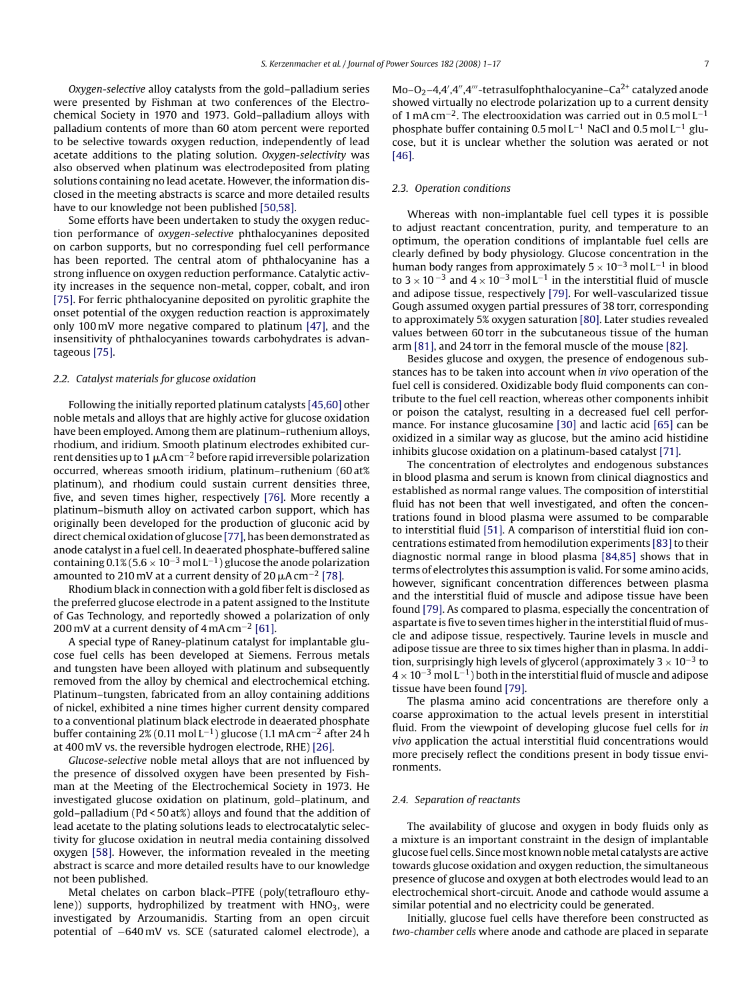<span id="page-6-0"></span>*Oxygen-selective* alloy catalysts from the gold–palladium series were presented by Fishman at two conferences of the Electrochemical Society in 1970 and 1973. Gold–palladium alloys with palladium contents of more than 60 atom percent were reported to be selective towards oxygen reduction, independently of lead acetate additions to the plating solution. *Oxygen-selectivity* was also observed when platinum was electrodeposited from plating solutions containing no lead acetate. However, the information disclosed in the meeting abstracts is scarce and more detailed results have to our knowledge not been published [\[50,58\].](#page-15-0)

Some efforts have been undertaken to study the oxygen reduction performance of *oxygen-selective* phthalocyanines deposited on carbon supports, but no corresponding fuel cell performance has been reported. The central atom of phthalocyanine has a strong influence on oxygen reduction performance. Catalytic activity increases in the sequence non-metal, copper, cobalt, and iron [\[75\]. F](#page-15-0)or ferric phthalocyanine deposited on pyrolitic graphite the onset potential of the oxygen reduction reaction is approximately only 100 mV more negative compared to platinum [\[47\],](#page-15-0) and the insensitivity of phthalocyanines towards carbohydrates is advantageous [\[75\].](#page-15-0)

#### *2.2. Catalyst materials for glucose oxidation*

Following the initially reported platinum catalysts [\[45,60\]](#page-15-0) other noble metals and alloys that are highly active for glucose oxidation have been employed. Among them are platinum–ruthenium alloys, rhodium, and iridium. Smooth platinum electrodes exhibited current densities up to 1  $\mu$ A cm $^{-2}$  before rapid irreversible polarization occurred, whereas smooth iridium, platinum–ruthenium (60 at% platinum), and rhodium could sustain current densities three, five, and seven times higher, respectively [\[76\].](#page-15-0) More recently a platinum–bismuth alloy on activated carbon support, which has originally been developed for the production of gluconic acid by direct chemical oxidation of glucose [\[77\], h](#page-15-0)as been demonstrated as anode catalyst in a fuel cell. In deaerated phosphate-buffered saline containing  $0.1\%$  (5.6 × 10<sup>-3</sup> mol L<sup>-1</sup>) glucose the anode polarization amounted to 210 mV at a current density of 20  $\mu$ A cm $^{-2}$  [\[78\].](#page-15-0)

Rhodium black in connection with a gold fiber felt is disclosed as the preferred glucose electrode in a patent assigned to the Institute of Gas Technology, and reportedly showed a polarization of only 200 mV at a current density of 4 mA cm−<sup>2</sup> [\[61\].](#page-15-0)

A special type of Raney-platinum catalyst for implantable glucose fuel cells has been developed at Siemens. Ferrous metals and tungsten have been alloyed with platinum and subsequently removed from the alloy by chemical and electrochemical etching. Platinum–tungsten, fabricated from an alloy containing additions of nickel, exhibited a nine times higher current density compared to a conventional platinum black electrode in deaerated phosphate buffer containing 2% (0.11 mol L−1) glucose (1.1 mA cm−<sup>2</sup> after 24 h at 400 mV vs. the reversible hydrogen electrode, RHE) [\[26\].](#page-15-0)

*Glucose-selective* noble metal alloys that are not influenced by the presence of dissolved oxygen have been presented by Fishman at the Meeting of the Electrochemical Society in 1973. He investigated glucose oxidation on platinum, gold–platinum, and gold–palladium (Pd < 50 at%) alloys and found that the addition of lead acetate to the plating solutions leads to electrocatalytic selectivity for glucose oxidation in neutral media containing dissolved oxygen [\[58\].](#page-15-0) However, the information revealed in the meeting abstract is scarce and more detailed results have to our knowledge not been published.

Metal chelates on carbon black–PTFE (poly(tetraflouro ethylene)) supports, hydrophilized by treatment with  $HNO<sub>3</sub>$ , were investigated by Arzoumanidis. Starting from an open circuit potential of −640 mV vs. SCE (saturated calomel electrode), a

 $Mo-O<sub>2</sub>-4,4',4'',4'''$ -tetrasulfophthalocyanine–Ca<sup>2+</sup> catalyzed anode showed virtually no electrode polarization up to a current density of 1 mA cm<sup>-2</sup>. The electrooxidation was carried out in 0.5 mol L<sup>-1</sup> phosphate buffer containing 0.5 mol L<sup>-1</sup> NaCl and 0.5 mol L<sup>-1</sup> glucose, but it is unclear whether the solution was aerated or not [\[46\].](#page-15-0)

#### *2.3. Operation conditions*

Whereas with non-implantable fuel cell types it is possible to adjust reactant concentration, purity, and temperature to an optimum, the operation conditions of implantable fuel cells are clearly defined by body physiology. Glucose concentration in the human body ranges from approximately  $5 \times 10^{-3}$  mol L<sup>-1</sup> in blood to 3 × 10<sup>-3</sup> and 4 × 10<sup>-3</sup> mol L<sup>-1</sup> in the interstitial fluid of muscle and adipose tissue, respectively [\[79\]. F](#page-15-0)or well-vascularized tissue Gough assumed oxygen partial pressures of 38 torr, corresponding to approximately 5% oxygen saturation [\[80\]. L](#page-16-0)ater studies revealed values between 60 torr in the subcutaneous tissue of the human arm [\[81\], a](#page-16-0)nd 24 torr in the femoral muscle of the mouse [\[82\].](#page-16-0)

Besides glucose and oxygen, the presence of endogenous substances has to be taken into account when *in vivo* operation of the fuel cell is considered. Oxidizable body fluid components can contribute to the fuel cell reaction, whereas other components inhibit or poison the catalyst, resulting in a decreased fuel cell performance. For instance glucosamine [\[30\]](#page-15-0) and lactic acid [\[65\]](#page-15-0) can be oxidized in a similar way as glucose, but the amino acid histidine inhibits glucose oxidation on a platinum-based catalyst [\[71\].](#page-15-0)

The concentration of electrolytes and endogenous substances in blood plasma and serum is known from clinical diagnostics and established as normal range values. The composition of interstitial fluid has not been that well investigated, and often the concentrations found in blood plasma were assumed to be comparable to interstitial fluid [\[51\]. A](#page-15-0) comparison of interstitial fluid ion concentrations estimated from hemodilution experiments [83] to their diagnostic normal range in blood plasma [\[84,85\]](#page-16-0) shows that in terms of electrolytes this assumption is valid. For some amino acids, however, significant concentration differences between plasma and the interstitial fluid of muscle and adipose tissue have been found [\[79\]. A](#page-15-0)s compared to plasma, especially the concentration of aspartate is five to seven times higher in the interstitial fluid of muscle and adipose tissue, respectively. Taurine levels in muscle and adipose tissue are three to six times higher than in plasma. In addition, surprisingly high levels of glycerol (approximately  $3 \times 10^{-3}$  to  $4 \times 10^{-3}$  mol L<sup>-1</sup>) both in the interstitial fluid of muscle and adipose tissue have been found [\[79\].](#page-15-0)

The plasma amino acid concentrations are therefore only a coarse approximation to the actual levels present in interstitial fluid. From the viewpoint of developing glucose fuel cells for *in vivo* application the actual interstitial fluid concentrations would more precisely reflect the conditions present in body tissue environments.

#### *2.4. Separation of reactants*

The availability of glucose and oxygen in body fluids only as a mixture is an important constraint in the design of implantable glucose fuel cells. Since most known noble metal catalysts are active towards glucose oxidation and oxygen reduction, the simultaneous presence of glucose and oxygen at both electrodes would lead to an electrochemical short-circuit. Anode and cathode would assume a similar potential and no electricity could be generated.

Initially, glucose fuel cells have therefore been constructed as *two-chamber cells* where anode and cathode are placed in separate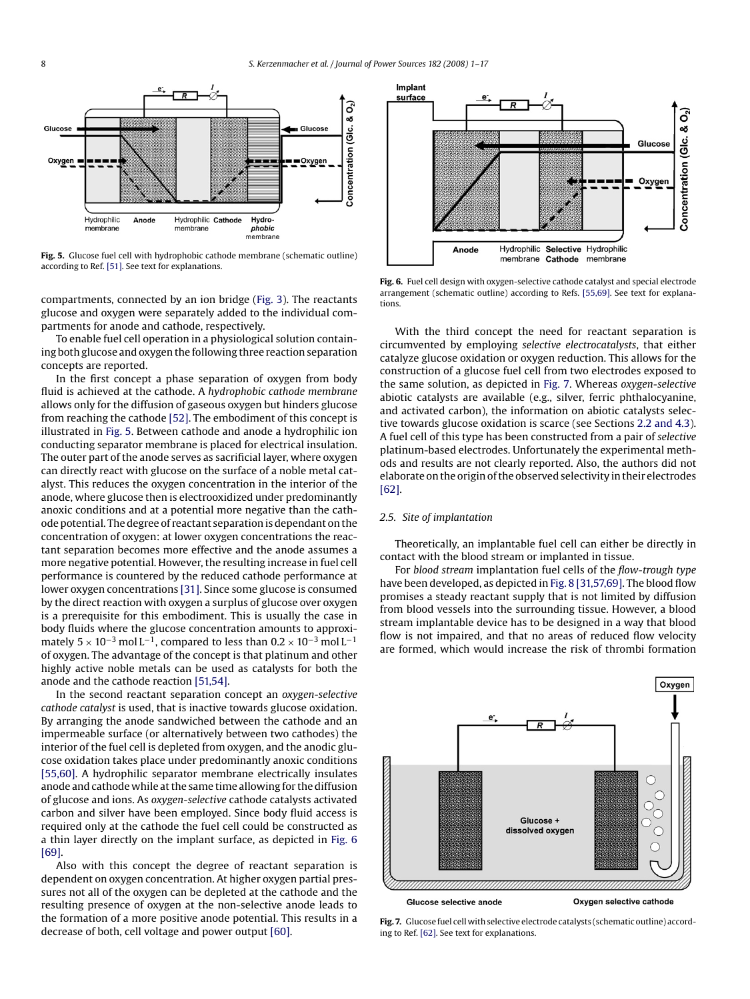<span id="page-7-0"></span>

**Fig. 5.** Glucose fuel cell with hydrophobic cathode membrane (schematic outline) according to Ref. [\[51\]. S](#page-15-0)ee text for explanations.

compartments, connected by an ion bridge ([Fig. 3\).](#page-3-0) The reactants glucose and oxygen were separately added to the individual compartments for anode and cathode, respectively.

To enable fuel cell operation in a physiological solution containing both glucose and oxygen the following three reaction separation concepts are reported.

In the first concept a phase separation of oxygen from body fluid is achieved at the cathode. A *hydrophobic cathode membrane* allows only for the diffusion of gaseous oxygen but hinders glucose from reaching the cathode [\[52\]. T](#page-15-0)he embodiment of this concept is illustrated in Fig. 5. Between cathode and anode a hydrophilic ion conducting separator membrane is placed for electrical insulation. The outer part of the anode serves as sacrificial layer, where oxygen can directly react with glucose on the surface of a noble metal catalyst. This reduces the oxygen concentration in the interior of the anode, where glucose then is electrooxidized under predominantly anoxic conditions and at a potential more negative than the cathode potential. The degree of reactant separation is dependant on the concentration of oxygen: at lower oxygen concentrations the reactant separation becomes more effective and the anode assumes a more negative potential. However, the resulting increase in fuel cell performance is countered by the reduced cathode performance at lower oxygen concentrations [\[31\]. S](#page-15-0)ince some glucose is consumed by the direct reaction with oxygen a surplus of glucose over oxygen is a prerequisite for this embodiment. This is usually the case in body fluids where the glucose concentration amounts to approximately  $5 \times 10^{-3}$  mol L<sup>-1</sup>, compared to less than  $0.2 \times 10^{-3}$  mol L<sup>-1</sup> of oxygen. The advantage of the concept is that platinum and other highly active noble metals can be used as catalysts for both the anode and the cathode reaction [\[51,54\].](#page-15-0)

In the second reactant separation concept an *oxygen-selective cathode catalyst* is used, that is inactive towards glucose oxidation. By arranging the anode sandwiched between the cathode and an impermeable surface (or alternatively between two cathodes) the interior of the fuel cell is depleted from oxygen, and the anodic glucose oxidation takes place under predominantly anoxic conditions [\[55,60\]. A](#page-15-0) hydrophilic separator membrane electrically insulates anode and cathode while at the same time allowing for the diffusion of glucose and ions. As *oxygen-selective* cathode catalysts activated carbon and silver have been employed. Since body fluid access is required only at the cathode the fuel cell could be constructed as a thin layer directly on the implant surface, as depicted in Fig. 6 [\[69\].](#page-15-0)

Also with this concept the degree of reactant separation is dependent on oxygen concentration. At higher oxygen partial pressures not all of the oxygen can be depleted at the cathode and the resulting presence of oxygen at the non-selective anode leads to the formation of a more positive anode potential. This results in a decrease of both, cell voltage and power output [\[60\].](#page-15-0)



**Fig. 6.** Fuel cell design with oxygen-selective cathode catalyst and special electrode arrangement (schematic outline) according to Refs. [\[55,69\]. S](#page-15-0)ee text for explanations.

With the third concept the need for reactant separation is circumvented by employing *selective electrocatalysts*, that either catalyze glucose oxidation or oxygen reduction. This allows for the construction of a glucose fuel cell from two electrodes exposed to the same solution, as depicted in Fig. 7. Whereas *oxygen-selective* abiotic catalysts are available (e.g., silver, ferric phthalocyanine, and activated carbon), the information on abiotic catalysts selective towards glucose oxidation is scarce (see Sections [2.2 and 4.3\).](#page-6-0) A fuel cell of this type has been constructed from a pair of *selective* platinum-based electrodes. Unfortunately the experimental methods and results are not clearly reported. Also, the authors did not elaborate on the origin of the observed selectivity in their electrodes [\[62\].](#page-15-0)

#### *2.5. Site of implantation*

Theoretically, an implantable fuel cell can either be directly in contact with the blood stream or implanted in tissue.

For *blood stream* implantation fuel cells of the *flow-trough type* have been developed, as depicted in [Fig. 8 \[](#page-8-0)[31,57,69\]. T](#page-15-0)he blood flow promises a steady reactant supply that is not limited by diffusion from blood vessels into the surrounding tissue. However, a blood stream implantable device has to be designed in a way that blood flow is not impaired, and that no areas of reduced flow velocity are formed, which would increase the risk of thrombi formation



**Fig. 7.** Glucose fuel cell with selective electrode catalysts (schematic outline) according to Ref. [\[62\]. S](#page-15-0)ee text for explanations.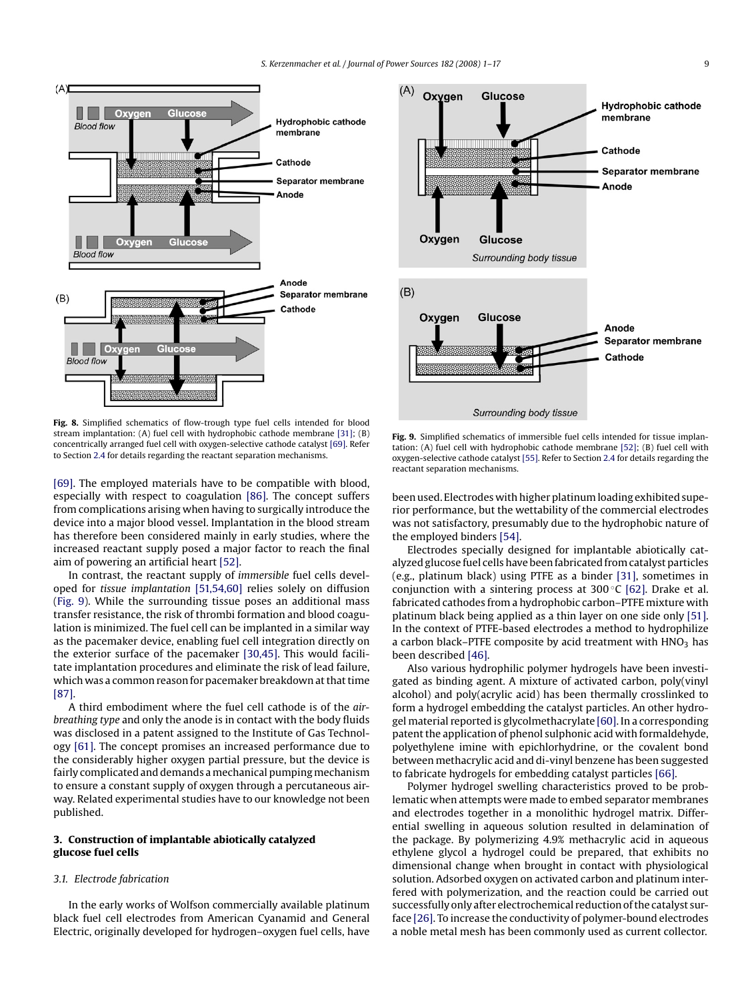<span id="page-8-0"></span>

**Fig. 8.** Simplified schematics of flow-trough type fuel cells intended for blood stream implantation: (A) fuel cell with hydrophobic cathode membrane [\[31\]; \(](#page-15-0)B) concentrically arranged fuel cell with oxygen-selective cathode catalyst [\[69\]. R](#page-15-0)efer to Section [2.4](#page-6-0) for details regarding the reactant separation mechanisms.

[\[69\]. T](#page-15-0)he employed materials have to be compatible with blood, especially with respect to coagulation [\[86\].](#page-16-0) The concept suffers from complications arising when having to surgically introduce the device into a major blood vessel. Implantation in the blood stream has therefore been considered mainly in early studies, where the increased reactant supply posed a major factor to reach the final aim of powering an artificial heart [\[52\].](#page-15-0)

In contrast, the reactant supply of *immersible* fuel cells developed for *tissue implantation* [\[51,54,60\]](#page-15-0) relies solely on diffusion (Fig. 9). While the surrounding tissue poses an additional mass transfer resistance, the risk of thrombi formation and blood coagulation is minimized. The fuel cell can be implanted in a similar way as the pacemaker device, enabling fuel cell integration directly on the exterior surface of the pacemaker [\[30,45\].](#page-15-0) This would facilitate implantation procedures and eliminate the risk of lead failure, which was a common reason for pacemaker breakdown at that time [\[87\].](#page-16-0)

A third embodiment where the fuel cell cathode is of the *airbreathing type* and only the anode is in contact with the body fluids was disclosed in a patent assigned to the Institute of Gas Technology [\[61\]. T](#page-15-0)he concept promises an increased performance due to the considerably higher oxygen partial pressure, but the device is fairly complicated and demands a mechanical pumping mechanism to ensure a constant supply of oxygen through a percutaneous airway. Related experimental studies have to our knowledge not been published.

## **3. Construction of implantable abiotically catalyzed glucose fuel cells**

#### *3.1. Electrode fabrication*

In the early works of Wolfson commercially available platinum black fuel cell electrodes from American Cyanamid and General Electric, originally developed for hydrogen–oxygen fuel cells, have



**Fig. 9.** Simplified schematics of immersible fuel cells intended for tissue implantation: (A) fuel cell with hydrophobic cathode membrane [\[52\]; \(](#page-15-0)B) fuel cell with oxygen-selective cathode catalyst [\[55\]. R](#page-15-0)efer to Section [2.4](#page-6-0) for details regarding the reactant separation mechanisms.

been used. Electrodes with higher platinum loading exhibited superior performance, but the wettability of the commercial electrodes was not satisfactory, presumably due to the hydrophobic nature of the employed binders [\[54\].](#page-15-0)

Electrodes specially designed for implantable abiotically catalyzed glucose fuel cells have been fabricated from catalyst particles (e.g., platinum black) using PTFE as a binder [\[31\], s](#page-15-0)ometimes in conjunction with a sintering process at  $300^{\circ}$ C [\[62\].](#page-15-0) Drake et al. fabricated cathodes from a hydrophobic carbon–PTFE mixture with platinum black being applied as a thin layer on one side only [\[51\].](#page-15-0) In the context of PTFE-based electrodes a method to hydrophilize a carbon black–PTFE composite by acid treatment with  $HNO<sub>3</sub>$  has been described [\[46\].](#page-15-0)

Also various hydrophilic polymer hydrogels have been investigated as binding agent. A mixture of activated carbon, poly(vinyl alcohol) and poly(acrylic acid) has been thermally crosslinked to form a hydrogel embedding the catalyst particles. An other hydrogel material reported is glycolmethacrylate [\[60\]. I](#page-15-0)n a corresponding patent the application of phenol sulphonic acid with formaldehyde, polyethylene imine with epichlorhydrine, or the covalent bond between methacrylic acid and di-vinyl benzene has been suggested to fabricate hydrogels for embedding catalyst particles [\[66\].](#page-15-0)

Polymer hydrogel swelling characteristics proved to be problematic when attempts were made to embed separator membranes and electrodes together in a monolithic hydrogel matrix. Differential swelling in aqueous solution resulted in delamination of the package. By polymerizing 4.9% methacrylic acid in aqueous ethylene glycol a hydrogel could be prepared, that exhibits no dimensional change when brought in contact with physiological solution. Adsorbed oxygen on activated carbon and platinum interfered with polymerization, and the reaction could be carried out successfully only after electrochemical reduction of the catalyst surface [\[26\]. T](#page-15-0)o increase the conductivity of polymer-bound electrodes a noble metal mesh has been commonly used as current collector.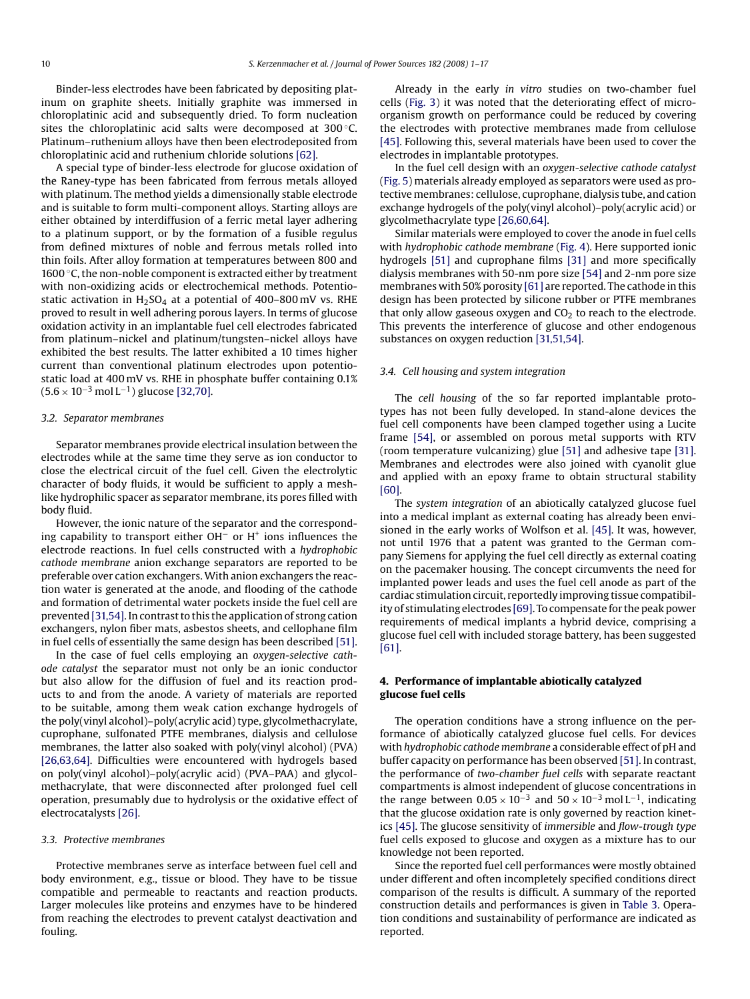Binder-less electrodes have been fabricated by depositing platinum on graphite sheets. Initially graphite was immersed in chloroplatinic acid and subsequently dried. To form nucleation sites the chloroplatinic acid salts were decomposed at 300 °C. Platinum–ruthenium alloys have then been electrodeposited from chloroplatinic acid and ruthenium chloride solutions [\[62\].](#page-15-0)

A special type of binder-less electrode for glucose oxidation of the Raney-type has been fabricated from ferrous metals alloyed with platinum. The method yields a dimensionally stable electrode and is suitable to form multi-component alloys. Starting alloys are either obtained by interdiffusion of a ferric metal layer adhering to a platinum support, or by the formation of a fusible regulus from defined mixtures of noble and ferrous metals rolled into thin foils. After alloy formation at temperatures between 800 and 1600 ◦C, the non-noble component is extracted either by treatment with non-oxidizing acids or electrochemical methods. Potentiostatic activation in  $H_2SO_4$  at a potential of 400–800 mV vs. RHE proved to result in well adhering porous layers. In terms of glucose oxidation activity in an implantable fuel cell electrodes fabricated from platinum–nickel and platinum/tungsten–nickel alloys have exhibited the best results. The latter exhibited a 10 times higher current than conventional platinum electrodes upon potentiostatic load at 400 mV vs. RHE in phosphate buffer containing 0.1%  $(5.6 \times 10^{-3} \text{ mol L}^{-1})$  glucose [\[32,70\].](#page-15-0)

#### *3.2. Separator membranes*

Separator membranes provide electrical insulation between the electrodes while at the same time they serve as ion conductor to close the electrical circuit of the fuel cell. Given the electrolytic character of body fluids, it would be sufficient to apply a meshlike hydrophilic spacer as separator membrane, its pores filled with body fluid.

However, the ionic nature of the separator and the corresponding capability to transport either OH<sup>−</sup> or H+ ions influences the electrode reactions. In fuel cells constructed with a *hydrophobic cathode membrane* anion exchange separators are reported to be preferable over cation exchangers. With anion exchangers the reaction water is generated at the anode, and flooding of the cathode and formation of detrimental water pockets inside the fuel cell are prevented [\[31,54\]. I](#page-15-0)n contrast to this the application of strong cation exchangers, nylon fiber mats, asbestos sheets, and cellophane film in fuel cells of essentially the same design has been described [\[51\].](#page-15-0)

In the case of fuel cells employing an *oxygen-selective cathode catalyst* the separator must not only be an ionic conductor but also allow for the diffusion of fuel and its reaction products to and from the anode. A variety of materials are reported to be suitable, among them weak cation exchange hydrogels of the poly(vinyl alcohol)–poly(acrylic acid) type, glycolmethacrylate, cuprophane, sulfonated PTFE membranes, dialysis and cellulose membranes, the latter also soaked with poly(vinyl alcohol) (PVA) [\[26,63,64\].](#page-15-0) Difficulties were encountered with hydrogels based on poly(vinyl alcohol)–poly(acrylic acid) (PVA–PAA) and glycolmethacrylate, that were disconnected after prolonged fuel cell operation, presumably due to hydrolysis or the oxidative effect of electrocatalysts [\[26\].](#page-15-0)

#### *3.3. Protective membranes*

Protective membranes serve as interface between fuel cell and body environment, e.g., tissue or blood. They have to be tissue compatible and permeable to reactants and reaction products. Larger molecules like proteins and enzymes have to be hindered from reaching the electrodes to prevent catalyst deactivation and fouling.

Already in the early *in vitro* studies on two-chamber fuel cells ([Fig. 3\)](#page-3-0) it was noted that the deteriorating effect of microorganism growth on performance could be reduced by covering the electrodes with protective membranes made from cellulose [\[45\]. F](#page-15-0)ollowing this, several materials have been used to cover the electrodes in implantable prototypes.

In the fuel cell design with an *oxygen-selective cathode catalyst* ([Fig. 5\) m](#page-7-0)aterials already employed as separators were used as protective membranes: cellulose, cuprophane, dialysis tube, and cation exchange hydrogels of the poly(vinyl alcohol)–poly(acrylic acid) or glycolmethacrylate type [\[26,60,64\].](#page-15-0)

Similar materials were employed to cover the anode in fuel cells with *hydrophobic cathode membrane* ([Fig. 4\).](#page-3-0) Here supported ionic hydrogels [\[51\]](#page-15-0) and cuprophane films [\[31\]](#page-15-0) and more specifically dialysis membranes with 50-nm pore size [\[54\]](#page-15-0) and 2-nm pore size membranes with 50% porosity [\[61\]](#page-15-0) are reported. The cathode in this design has been protected by silicone rubber or PTFE membranes that only allow gaseous oxygen and  $CO<sub>2</sub>$  to reach to the electrode. This prevents the interference of glucose and other endogenous substances on oxygen reduction [\[31,51,54\].](#page-15-0)

#### *3.4. Cell housing and system integration*

The *cell housing* of the so far reported implantable prototypes has not been fully developed. In stand-alone devices the fuel cell components have been clamped together using a Lucite frame [\[54\],](#page-15-0) or assembled on porous metal supports with RTV (room temperature vulcanizing) glue [\[51\]](#page-15-0) and adhesive tape [\[31\].](#page-15-0) Membranes and electrodes were also joined with cyanolit glue and applied with an epoxy frame to obtain structural stability [\[60\].](#page-15-0)

The *system integration* of an abiotically catalyzed glucose fuel into a medical implant as external coating has already been envisioned in the early works of Wolfson et al. [\[45\].](#page-15-0) It was, however, not until 1976 that a patent was granted to the German company Siemens for applying the fuel cell directly as external coating on the pacemaker housing. The concept circumvents the need for implanted power leads and uses the fuel cell anode as part of the cardiac stimulation circuit, reportedly improving tissue compatibility of stimulating electrodes [\[69\]. T](#page-15-0)o compensate for the peak power requirements of medical implants a hybrid device, comprising a glucose fuel cell with included storage battery, has been suggested [\[61\].](#page-15-0)

## **4. Performance of implantable abiotically catalyzed glucose fuel cells**

The operation conditions have a strong influence on the performance of abiotically catalyzed glucose fuel cells. For devices with *hydrophobic cathode membrane* a considerable effect of pH and buffer capacity on performance has been observed [\[51\]. I](#page-15-0)n contrast, the performance of *two-chamber fuel cells* with separate reactant compartments is almost independent of glucose concentrations in the range between  $0.05 \times 10^{-3}$  and  $50 \times 10^{-3}$  mol L<sup>-1</sup>, indicating that the glucose oxidation rate is only governed by reaction kinetics [\[45\]. T](#page-15-0)he glucose sensitivity of *immersible* and *flow-trough type* fuel cells exposed to glucose and oxygen as a mixture has to our knowledge not been reported.

Since the reported fuel cell performances were mostly obtained under different and often incompletely specified conditions direct comparison of the results is difficult. A summary of the reported construction details and performances is given in [Table 3.](#page-10-0) Operation conditions and sustainability of performance are indicated as reported.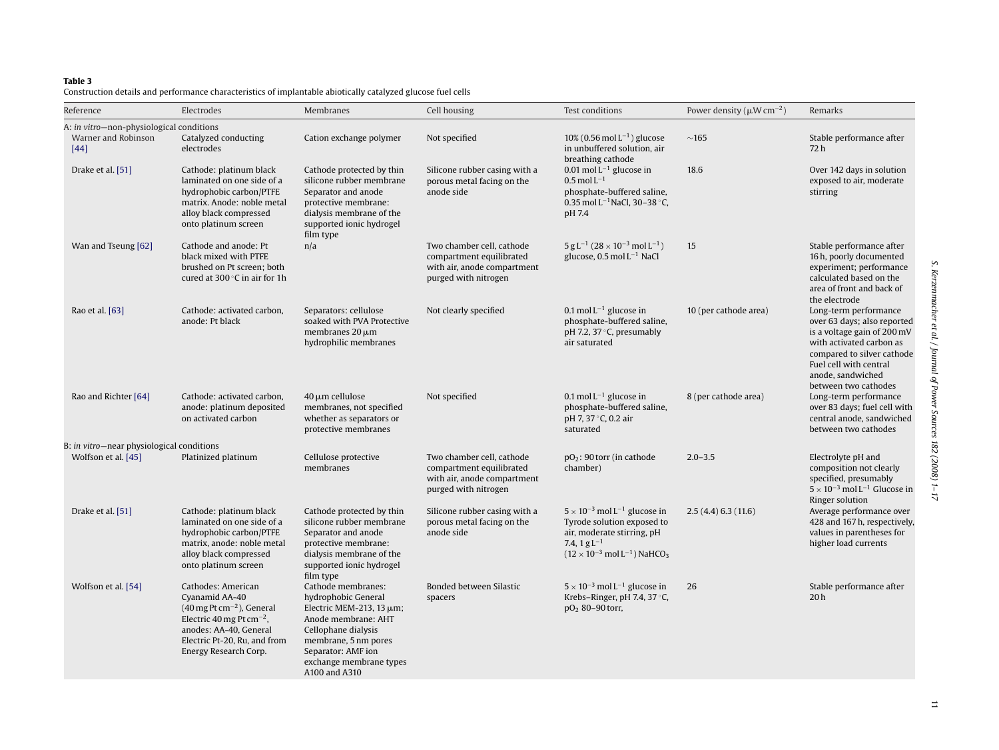#### <span id="page-10-0"></span>**Table 3**

Construction details and performance characteristics of implantable abiotically catalyzed glucose fuel cells

| Reference                                                                 | Electrodes                                                                                                                                                                                                                           | <b>Membranes</b>                                                                                                                                                                                                   | Cell housing                                                                                                 | Test conditions                                                                                                                                                                                   | Power density ( $\mu$ W cm <sup>-2</sup> ) | Remarks                                                                                                                                                                                                              |
|---------------------------------------------------------------------------|--------------------------------------------------------------------------------------------------------------------------------------------------------------------------------------------------------------------------------------|--------------------------------------------------------------------------------------------------------------------------------------------------------------------------------------------------------------------|--------------------------------------------------------------------------------------------------------------|---------------------------------------------------------------------------------------------------------------------------------------------------------------------------------------------------|--------------------------------------------|----------------------------------------------------------------------------------------------------------------------------------------------------------------------------------------------------------------------|
| A: in vitro-non-physiological conditions<br>Warner and Robinson<br>$[44]$ | Catalyzed conducting<br>electrodes                                                                                                                                                                                                   | Cation exchange polymer                                                                                                                                                                                            | Not specified                                                                                                | $10\%$ (0.56 mol L <sup>-1</sup> ) glucose<br>in unbuffered solution, air<br>breathing cathode                                                                                                    | $\sim$ 165                                 | Stable performance after<br>72 h                                                                                                                                                                                     |
| Drake et al. [51]                                                         | Cathode: platinum black<br>laminated on one side of a<br>hydrophobic carbon/PTFE<br>matrix. Anode: noble metal<br>alloy black compressed<br>onto platinum screen                                                                     | Cathode protected by thin<br>silicone rubber membrane<br>Separator and anode<br>protective membrane:<br>dialysis membrane of the<br>supported ionic hydrogel<br>film type                                          | Silicone rubber casing with a<br>porous metal facing on the<br>anode side                                    | 0.01 mol $L^{-1}$ glucose in<br>$0.5 \,\mathrm{mol} \,\mathrm{L}^{-1}$<br>phosphate-buffered saline,<br>0.35 mol $L^{-1}$ NaCl, 30-38 °C,<br>pH 7.4                                               | 18.6                                       | Over 142 days in solution<br>exposed to air, moderate<br>stirring                                                                                                                                                    |
| Wan and Tseung [62]                                                       | Cathode and anode: Pt<br>black mixed with PTFE<br>brushed on Pt screen; both<br>cured at $300^{\circ}$ C in air for 1h                                                                                                               | n/a                                                                                                                                                                                                                | Two chamber cell, cathode<br>compartment equilibrated<br>with air, anode compartment<br>purged with nitrogen | $5 g L^{-1} (28 \times 10^{-3} \text{ mol } L^{-1})$<br>glucose, $0.5$ mol $L^{-1}$ NaCl                                                                                                          | 15                                         | Stable performance after<br>16 h, poorly documented<br>experiment; performance<br>calculated based on the<br>area of front and back of<br>the electrode                                                              |
| Rao et al. [63]                                                           | Cathode: activated carbon,<br>anode: Pt black                                                                                                                                                                                        | Separators: cellulose<br>soaked with PVA Protective<br>membranes $20 \mu m$<br>hydrophilic membranes                                                                                                               | Not clearly specified                                                                                        | 0.1 mol $L^{-1}$ glucose in<br>phosphate-buffered saline,<br>pH 7.2, 37 °C, presumably<br>air saturated                                                                                           | 10 (per cathode area)                      | Long-term performance<br>over 63 days; also reported<br>is a voltage gain of 200 mV<br>with activated carbon as<br>compared to silver cathode<br>Fuel cell with central<br>anode, sandwiched<br>between two cathodes |
| Rao and Richter [64]                                                      | Cathode: activated carbon,<br>anode: platinum deposited<br>on activated carbon                                                                                                                                                       | 40 μm cellulose<br>membranes, not specified<br>whether as separators or<br>protective membranes                                                                                                                    | Not specified                                                                                                | 0.1 mol $L^{-1}$ glucose in<br>phosphate-buffered saline,<br>pH 7, 37 °C, 0.2 air<br>saturated                                                                                                    | 8 (per cathode area)                       | Long-term performance<br>over 83 days; fuel cell with<br>central anode, sandwiched<br>between two cathodes                                                                                                           |
| B: in vitro-near physiological conditions<br>Wolfson et al. [45]          | Platinized platinum                                                                                                                                                                                                                  | Cellulose protective<br>membranes                                                                                                                                                                                  | Two chamber cell, cathode<br>compartment equilibrated<br>with air, anode compartment<br>purged with nitrogen | $pO_2$ : 90 torr (in cathode<br>chamber)                                                                                                                                                          | $2.0 - 3.5$                                | Electrolyte pH and<br>composition not clearly<br>specified, presumably<br>$5 \times 10^{-3}$ mol L <sup>-1</sup> Glucose in                                                                                          |
| Drake et al. [51]                                                         | Cathode: platinum black<br>laminated on one side of a<br>hydrophobic carbon/PTFE<br>matrix, anode: noble metal<br>alloy black compressed<br>onto platinum screen                                                                     | Cathode protected by thin<br>silicone rubber membrane<br>Separator and anode<br>protective membrane:<br>dialysis membrane of the<br>supported ionic hydrogel<br>film type                                          | Silicone rubber casing with a<br>porous metal facing on the<br>anode side                                    | $5 \times 10^{-3}$ mol L <sup>-1</sup> glucose in<br>Tyrode solution exposed to<br>air, moderate stirring, pH<br>7.4, $1 g L^{-1}$<br>$(12 \times 10^{-3} \text{ mol L}^{-1})$ NaHCO <sub>3</sub> | 2.5(4.4)6.3(11.6)                          | Ringer solution<br>Average performance over<br>428 and 167 h, respectively,<br>values in parentheses for<br>higher load currents                                                                                     |
| Wolfson et al. [54]                                                       | Cathodes: American<br>Cyanamid AA-40<br>$(40 \,\mathrm{mg} \, \mathrm{Pt} \, \mathrm{cm}^{-2})$ , General<br>Electric 40 mg Pt cm <sup>-2</sup> ,<br>anodes: AA-40, General<br>Electric Pt-20, Ru, and from<br>Energy Research Corp. | Cathode membranes:<br>hydrophobic General<br>Electric MEM-213, 13 $\mu$ m;<br>Anode membrane: AHT<br>Cellophane dialysis<br>membrane, 5 nm pores<br>Separator: AMF ion<br>exchange membrane types<br>A100 and A310 | Bonded between Silastic<br>spacers                                                                           | $5 \times 10^{-3}$ mol L <sup>-1</sup> glucose in<br>Krebs-Ringer, pH 7.4, 37 °C,<br>$pO_2$ 80-90 torr,                                                                                           | 26                                         | Stable performance after<br>20 <sub>h</sub>                                                                                                                                                                          |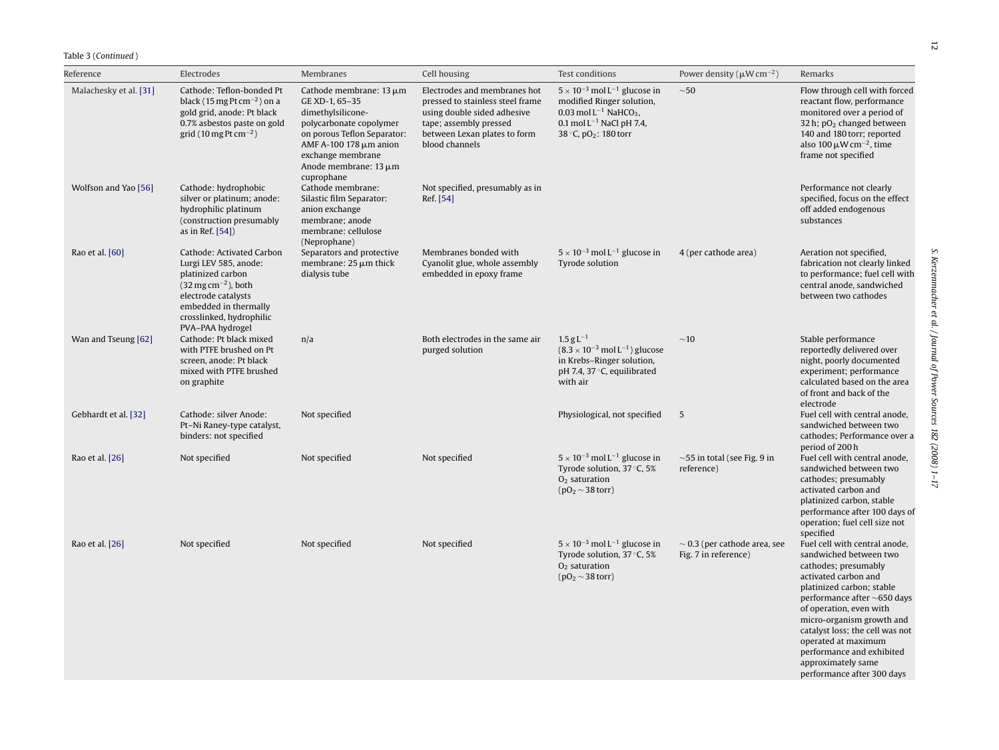| Reference              | Electrodes                                                                                                                                                                                                               | Membranes                                                                                                                                                                                                                | Cell housing                                                                                                                                                                | Test conditions                                                                                                                                                                                         | Power density ( $\mu$ W cm <sup>-2</sup> )                | Remarks                                                                                                                                                                                                                                                                                                                                                                      |
|------------------------|--------------------------------------------------------------------------------------------------------------------------------------------------------------------------------------------------------------------------|--------------------------------------------------------------------------------------------------------------------------------------------------------------------------------------------------------------------------|-----------------------------------------------------------------------------------------------------------------------------------------------------------------------------|---------------------------------------------------------------------------------------------------------------------------------------------------------------------------------------------------------|-----------------------------------------------------------|------------------------------------------------------------------------------------------------------------------------------------------------------------------------------------------------------------------------------------------------------------------------------------------------------------------------------------------------------------------------------|
| Malachesky et al. [31] | Cathode: Teflon-bonded Pt<br>black (15 mg Pt cm <sup><math>-2</math></sup> ) on a<br>gold grid, anode: Pt black<br>0.7% asbestos paste on gold<br>grid (10 mg Pt cm $^{-2}$ )                                            | Cathode membrane: $13 \mu m$<br>GE XD-1, 65-35<br>dimethylsilicone-<br>polycarbonate copolymer<br>on porous Teflon Separator:<br>AMF A-100 178 μm anion<br>exchange membrane<br>Anode membrane: $13 \mu m$<br>cuprophane | Electrodes and membranes hot<br>pressed to stainless steel frame<br>using double sided adhesive<br>tape; assembly pressed<br>between Lexan plates to form<br>blood channels | $5 \times 10^{-3}$ mol L <sup>-1</sup> glucose in<br>modified Ringer solution,<br>0.03 mol $L^{-1}$ NaHCO <sub>3</sub> ,<br>$0.1$ mol L <sup>-1</sup> NaCl pH 7.4,<br>38 °C, pO <sub>2</sub> : 180 torr | ${\sim}50$                                                | Flow through cell with forced<br>reactant flow, performance<br>monitored over a period of<br>32 h; $pO2$ changed between<br>140 and 180 torr; reported<br>also 100 $\mu$ W cm <sup>-2</sup> , time<br>frame not specified                                                                                                                                                    |
| Wolfson and Yao [56]   | Cathode: hydrophobic<br>silver or platinum; anode:<br>hydrophilic platinum<br>(construction presumably<br>as in Ref. [54])                                                                                               | Cathode membrane:<br>Silastic film Separator:<br>anion exchange<br>membrane; anode<br>membrane: cellulose<br>(Neprophane)                                                                                                | Not specified, presumably as in<br>Ref. [54]                                                                                                                                |                                                                                                                                                                                                         |                                                           | Performance not clearly<br>specified, focus on the effect<br>off added endogenous<br>substances                                                                                                                                                                                                                                                                              |
| Rao et al. [60]        | Cathode: Activated Carbon<br>Lurgi LEV 585, anode:<br>platinized carbon<br>$(32 \,\mathrm{mg}\,\mathrm{cm}^{-2})$ , both<br>electrode catalysts<br>embedded in thermally<br>crosslinked, hydrophilic<br>PVA-PAA hydrogel | Separators and protective<br>membrane: $25 \mu m$ thick<br>dialysis tube                                                                                                                                                 | Membranes bonded with<br>Cyanolit glue, whole assembly<br>embedded in epoxy frame                                                                                           | $5 \times 10^{-3}$ mol L <sup>-1</sup> glucose in<br>Tyrode solution                                                                                                                                    | 4 (per cathode area)                                      | Aeration not specified,<br>fabrication not clearly linked<br>to performance; fuel cell with<br>central anode, sandwiched<br>between two cathodes                                                                                                                                                                                                                             |
| Wan and Tseung [62]    | Cathode: Pt black mixed<br>with PTFE brushed on Pt<br>screen, anode: Pt black<br>mixed with PTFE brushed<br>on graphite                                                                                                  | n/a                                                                                                                                                                                                                      | Both electrodes in the same air<br>purged solution                                                                                                                          | $1.5 g L^{-1}$<br>$(8.3 \times 10^{-3} \,\text{mol} \,\text{L}^{-1})$ glucose<br>in Krebs-Ringer solution,<br>pH 7.4, 37 °C, equilibrated<br>with air                                                   | ~10                                                       | Stable performance<br>reportedly delivered over<br>night, poorly documented<br>experiment; performance<br>calculated based on the area<br>of front and back of the<br>electrode                                                                                                                                                                                              |
| Gebhardt et al. [32]   | Cathode: silver Anode:<br>Pt-Ni Raney-type catalyst,<br>binders: not specified                                                                                                                                           | Not specified                                                                                                                                                                                                            |                                                                                                                                                                             | Physiological, not specified                                                                                                                                                                            | 5                                                         | Fuel cell with central anode,<br>sandwiched between two<br>cathodes; Performance over a<br>period of 200h                                                                                                                                                                                                                                                                    |
| Rao et al. [26]        | Not specified                                                                                                                                                                                                            | Not specified                                                                                                                                                                                                            | Not specified                                                                                                                                                               | $5 \times 10^{-3}$ mol L <sup>-1</sup> glucose in<br>Tyrode solution, 37 °C, 5%<br>$O2$ saturation<br>$(pO2 \sim 38$ torr)                                                                              | $\sim$ 55 in total (see Fig. 9 in<br>reference)           | Fuel cell with central anode,<br>sandwiched between two<br>cathodes; presumably<br>activated carbon and<br>platinized carbon, stable<br>performance after 100 days of<br>operation; fuel cell size not<br>specified                                                                                                                                                          |
| Rao et al. [26]        | Not specified                                                                                                                                                                                                            | Not specified                                                                                                                                                                                                            | Not specified                                                                                                                                                               | $5 \times 10^{-3}$ mol L <sup>-1</sup> glucose in<br>Tyrode solution, 37 °C, 5%<br>$O2$ saturation<br>$(pO2 \sim 38$ torr)                                                                              | $\sim$ 0.3 (per cathode area, see<br>Fig. 7 in reference) | Fuel cell with central anode,<br>sandwiched between two<br>cathodes; presumably<br>activated carbon and<br>platinized carbon; stable<br>performance after $\sim$ 650 days<br>of operation, even with<br>micro-organism growth and<br>catalyst loss; the cell was not<br>operated at maximum<br>performance and exhibited<br>approximately same<br>performance after 300 days |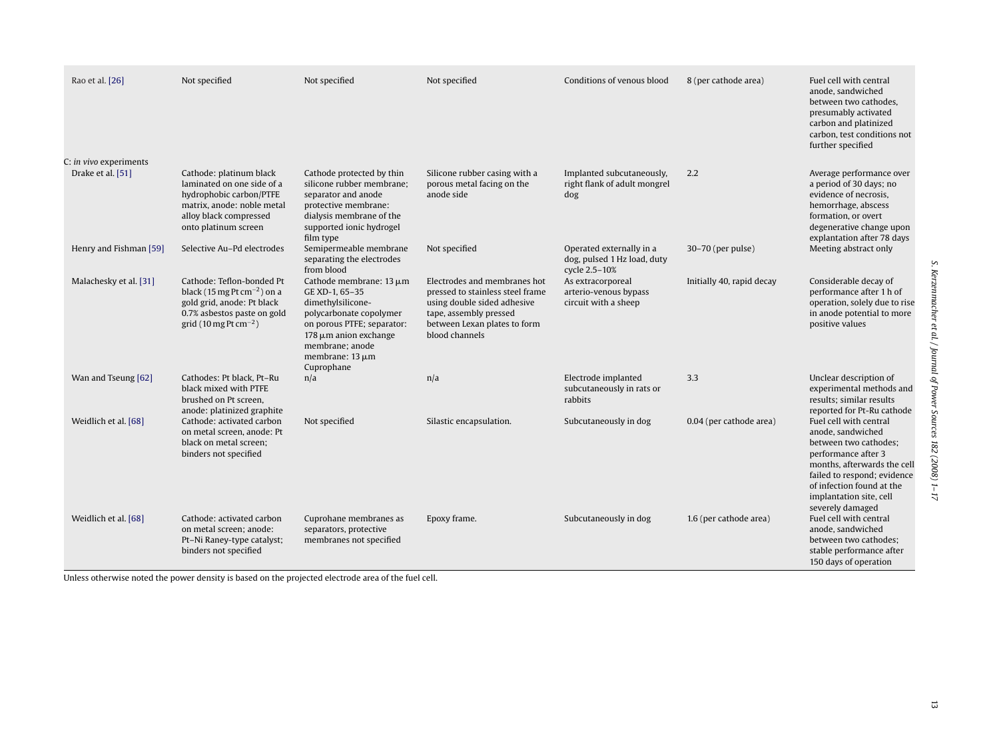| Rao et al. [26]                             | Not specified                                                                                                                                                    | Not specified                                                                                                                                                                                                       | Not specified                                                                                                                                                               | Conditions of venous blood                                               | 8 (per cathode area)      | Fuel cell with central<br>anode, sandwiched<br>between two cathodes,<br>presumably activated<br>carbon and platinized<br>carbon, test conditions not<br>further specified                                                             |
|---------------------------------------------|------------------------------------------------------------------------------------------------------------------------------------------------------------------|---------------------------------------------------------------------------------------------------------------------------------------------------------------------------------------------------------------------|-----------------------------------------------------------------------------------------------------------------------------------------------------------------------------|--------------------------------------------------------------------------|---------------------------|---------------------------------------------------------------------------------------------------------------------------------------------------------------------------------------------------------------------------------------|
| C: in vivo experiments<br>Drake et al. [51] | Cathode: platinum black<br>laminated on one side of a<br>hydrophobic carbon/PTFE<br>matrix, anode: noble metal<br>alloy black compressed<br>onto platinum screen | Cathode protected by thin<br>silicone rubber membrane;<br>separator and anode<br>protective membrane:<br>dialysis membrane of the<br>supported ionic hydrogel<br>film type                                          | Silicone rubber casing with a<br>porous metal facing on the<br>anode side                                                                                                   | Implanted subcutaneously,<br>right flank of adult mongrel<br>dog         | 2.2                       | Average performance over<br>a period of 30 days; no<br>evidence of necrosis,<br>hemorrhage, abscess<br>formation, or overt<br>degenerative change upon<br>explantation after 78 days                                                  |
| Henry and Fishman [59]                      | Selective Au-Pd electrodes                                                                                                                                       | Semipermeable membrane<br>separating the electrodes<br>from blood                                                                                                                                                   | Not specified                                                                                                                                                               | Operated externally in a<br>dog, pulsed 1 Hz load, duty<br>cycle 2.5-10% | 30-70 (per pulse)         | Meeting abstract only                                                                                                                                                                                                                 |
| Malachesky et al. [31]                      | Cathode: Teflon-bonded Pt<br>black (15 mg Pt cm $^{-2}$ ) on a<br>gold grid, anode: Pt black<br>0.7% asbestos paste on gold<br>grid (10 mg Pt cm $^{-2}$ )       | Cathode membrane: $13 \mu m$<br>GE XD-1, 65-35<br>dimethylsilicone-<br>polycarbonate copolymer<br>on porous PTFE; separator:<br>$178 \mu m$ anion exchange<br>membrane; anode<br>membrane: $13 \mu m$<br>Cuprophane | Electrodes and membranes hot<br>pressed to stainless steel frame<br>using double sided adhesive<br>tape, assembly pressed<br>between Lexan plates to form<br>blood channels | As extracorporeal<br>arterio-venous bypass<br>circuit with a sheep       | Initially 40, rapid decay | Considerable decay of<br>performance after 1 h of<br>operation, solely due to rise<br>in anode potential to more<br>positive values                                                                                                   |
| Wan and Tseung [62]                         | Cathodes: Pt black. Pt-Ru<br>black mixed with PTFE<br>brushed on Pt screen,<br>anode: platinized graphite                                                        | n/a                                                                                                                                                                                                                 | n/a                                                                                                                                                                         | Electrode implanted<br>subcutaneously in rats or<br>rabbits              | 3.3                       | Unclear description of<br>experimental methods and<br>results; similar results<br>reported for Pt-Ru cathode                                                                                                                          |
| Weidlich et al. [68]                        | Cathode: activated carbon<br>on metal screen, anode: Pt<br>black on metal screen;<br>binders not specified                                                       | Not specified                                                                                                                                                                                                       | Silastic encapsulation.                                                                                                                                                     | Subcutaneously in dog                                                    | 0.04 (per cathode area)   | Fuel cell with central<br>anode, sandwiched<br>between two cathodes;<br>performance after 3<br>months, afterwards the cell<br>failed to respond; evidence<br>of infection found at the<br>implantation site, cell<br>severely damaged |
| Weidlich et al. [68]                        | Cathode: activated carbon<br>on metal screen; anode:<br>Pt-Ni Raney-type catalyst;<br>binders not specified                                                      | Cuprohane membranes as<br>separators, protective<br>membranes not specified                                                                                                                                         | Epoxy frame.                                                                                                                                                                | Subcutaneously in dog                                                    | 1.6 (per cathode area)    | Fuel cell with central<br>anode, sandwiched<br>between two cathodes;<br>stable performance after<br>150 days of operation                                                                                                             |

Unless otherwise noted the power density is based on the projected electrode area of the fuel cell.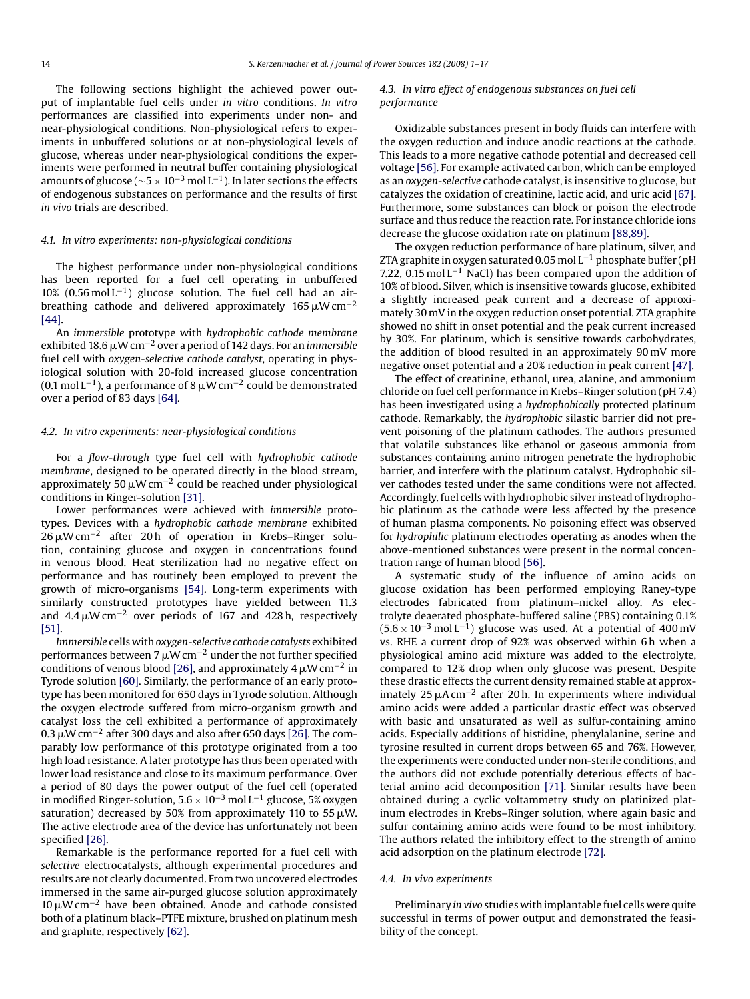The following sections highlight the achieved power output of implantable fuel cells under *in vitro* conditions. *In vitro* performances are classified into experiments under non- and near-physiological conditions. Non-physiological refers to experiments in unbuffered solutions or at non-physiological levels of glucose, whereas under near-physiological conditions the experiments were performed in neutral buffer containing physiological amounts of glucose ( $\sim$ 5 × 10<sup>-3</sup> mol L<sup>-1</sup>). In later sections the effects of endogenous substances on performance and the results of first *in vivo* trials are described.

# *4.1. In vitro experiments: non-physiological conditions*

The highest performance under non-physiological conditions has been reported for a fuel cell operating in unbuffered 10% (0.56 mol L<sup>-1</sup>) glucose solution. The fuel cell had an airbreathing cathode and delivered approximately 165  $\mu$ W cm<sup>-2</sup> [\[44\].](#page-15-0)

An *immersible* prototype with *hydrophobic cathode membrane* exhibited 18.6 µW cm<sup>−2</sup> over a period of 142 days. For an *immersible* fuel cell with *oxygen-selective cathode catalyst*, operating in physiological solution with 20-fold increased glucose concentration (0.1 mol L<sup>−1</sup>), a performance of 8  $\mu$ W cm<sup>−2</sup> could be demonstrated over a period of 83 days [\[64\].](#page-15-0)

#### *4.2. In vitro experiments: near-physiological conditions*

For a *flow-through* type fuel cell with *hydrophobic cathode membrane*, designed to be operated directly in the blood stream, approximately 50  $\mu$ W cm<sup>-2</sup> could be reached under physiological conditions in Ringer-solution [\[31\].](#page-15-0)

Lower performances were achieved with *immersible* prototypes. Devices with a *hydrophobic cathode membrane* exhibited 26µW cm<sup>−2</sup> after 20 h of operation in Krebs–Ringer solution, containing glucose and oxygen in concentrations found in venous blood. Heat sterilization had no negative effect on performance and has routinely been employed to prevent the growth of micro-organisms [\[54\].](#page-15-0) Long-term experiments with similarly constructed prototypes have yielded between 11.3 and 4.4  $\mu$ W cm<sup>-2</sup> over periods of 167 and 428 h, respectively [\[51\].](#page-15-0)

*Immersible* cells with *oxygen-selective cathode catalysts* exhibited performances between 7  $\mu$ W cm<sup>-2</sup> under the not further specified conditions of venous blood [\[26\], a](#page-15-0)nd approximately 4  $\mu$ W cm<sup>-2</sup> in Tyrode solution [\[60\]. S](#page-15-0)imilarly, the performance of an early prototype has been monitored for 650 days in Tyrode solution. Although the oxygen electrode suffered from micro-organism growth and catalyst loss the cell exhibited a performance of approximately 0.3 µW cm<sup>−2</sup> after 300 days and also after 650 days [\[26\]. T](#page-15-0)he comparably low performance of this prototype originated from a too high load resistance. A later prototype has thus been operated with lower load resistance and close to its maximum performance. Over a period of 80 days the power output of the fuel cell (operated in modified Ringer-solution,  $5.6 \times 10^{-3}$  mol L<sup>-1</sup> glucose, 5% oxygen saturation) decreased by 50% from approximately 110 to 55  $\mu$ W. The active electrode area of the device has unfortunately not been specified [\[26\].](#page-15-0)

Remarkable is the performance reported for a fuel cell with *selective* electrocatalysts, although experimental procedures and results are not clearly documented. From two uncovered electrodes immersed in the same air-purged glucose solution approximately 10  $\mu$ W cm<sup>-2</sup> have been obtained. Anode and cathode consisted both of a platinum black–PTFE mixture, brushed on platinum mesh and graphite, respectively [\[62\].](#page-15-0)

#### *4.3. In vitro effect of endogenous substances on fuel cell performance*

Oxidizable substances present in body fluids can interfere with the oxygen reduction and induce anodic reactions at the cathode. This leads to a more negative cathode potential and decreased cell voltage [\[56\]. F](#page-15-0)or example activated carbon, which can be employed as an *oxygen-selective* cathode catalyst, is insensitive to glucose, but catalyzes the oxidation of creatinine, lactic acid, and uric acid [\[67\].](#page-15-0) Furthermore, some substances can block or poison the electrode surface and thus reduce the reaction rate. For instance chloride ions decrease the glucose oxidation rate on platinum [\[88,89\].](#page-16-0)

The oxygen reduction performance of bare platinum, silver, and ZTA graphite in oxygen saturated 0.05 mol L−<sup>1</sup> phosphate buffer (pH 7.22, 0.15 mol  $L^{-1}$  NaCl) has been compared upon the addition of 10% of blood. Silver, which is insensitive towards glucose, exhibited a slightly increased peak current and a decrease of approximately 30 mV in the oxygen reduction onset potential. ZTA graphite showed no shift in onset potential and the peak current increased by 30%. For platinum, which is sensitive towards carbohydrates, the addition of blood resulted in an approximately 90 mV more negative onset potential and a 20% reduction in peak current [\[47\].](#page-15-0)

The effect of creatinine, ethanol, urea, alanine, and ammonium chloride on fuel cell performance in Krebs–Ringer solution (pH 7.4) has been investigated using a *hydrophobically* protected platinum cathode. Remarkably, the *hydrophobic* silastic barrier did not prevent poisoning of the platinum cathodes. The authors presumed that volatile substances like ethanol or gaseous ammonia from substances containing amino nitrogen penetrate the hydrophobic barrier, and interfere with the platinum catalyst. Hydrophobic silver cathodes tested under the same conditions were not affected. Accordingly, fuel cells with hydrophobic silver instead of hydrophobic platinum as the cathode were less affected by the presence of human plasma components. No poisoning effect was observed for *hydrophilic* platinum electrodes operating as anodes when the above-mentioned substances were present in the normal concentration range of human blood [\[56\].](#page-15-0)

A systematic study of the influence of amino acids on glucose oxidation has been performed employing Raney-type electrodes fabricated from platinum–nickel alloy. As electrolyte deaerated phosphate-buffered saline (PBS) containing 0.1%  $(5.6 \times 10^{-3} \text{ mol L}^{-1})$  glucose was used. At a potential of 400 mV vs. RHE a current drop of 92% was observed within 6 h when a physiological amino acid mixture was added to the electrolyte, compared to 12% drop when only glucose was present. Despite these drastic effects the current density remained stable at approximately 25  $\mu$ A cm<sup>-2</sup> after 20 h. In experiments where individual amino acids were added a particular drastic effect was observed with basic and unsaturated as well as sulfur-containing amino acids. Especially additions of histidine, phenylalanine, serine and tyrosine resulted in current drops between 65 and 76%. However, the experiments were conducted under non-sterile conditions, and the authors did not exclude potentially deterious effects of bacterial amino acid decomposition [\[71\].](#page-15-0) Similar results have been obtained during a cyclic voltammetry study on platinized platinum electrodes in Krebs–Ringer solution, where again basic and sulfur containing amino acids were found to be most inhibitory. The authors related the inhibitory effect to the strength of amino acid adsorption on the platinum electrode [\[72\].](#page-15-0)

#### *4.4. In vivo experiments*

Preliminary *in vivo* studies with implantable fuel cells were quite successful in terms of power output and demonstrated the feasibility of the concept.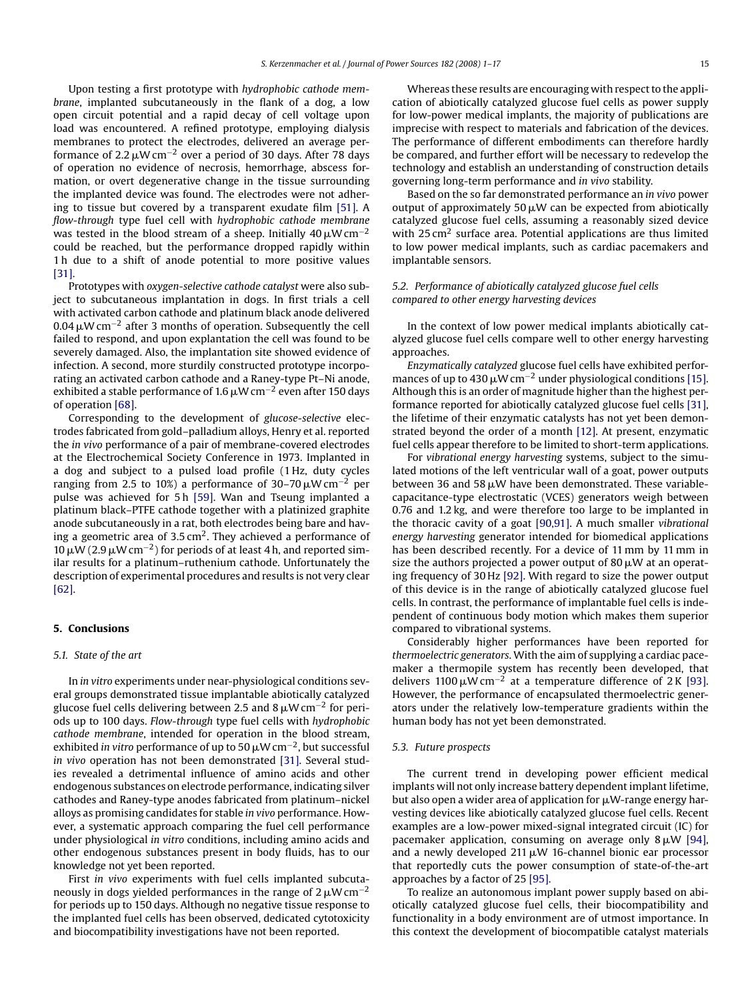Upon testing a first prototype with *hydrophobic cathode membrane*, implanted subcutaneously in the flank of a dog, a low open circuit potential and a rapid decay of cell voltage upon load was encountered. A refined prototype, employing dialysis membranes to protect the electrodes, delivered an average performance of 2.2  $\mu$ W cm $^{-2}$  over a period of 30 days. After 78 days of operation no evidence of necrosis, hemorrhage, abscess formation, or overt degenerative change in the tissue surrounding the implanted device was found. The electrodes were not adhering to tissue but covered by a transparent exudate film [\[51\].](#page-15-0) A *flow-through* type fuel cell with *hydrophobic cathode membrane* was tested in the blood stream of a sheep. Initially 40  $\mu$ W cm<sup>−2</sup> could be reached, but the performance dropped rapidly within 1 h due to a shift of anode potential to more positive values [\[31\].](#page-15-0)

Prototypes with *oxygen-selective cathode catalyst* were also subject to subcutaneous implantation in dogs. In first trials a cell with activated carbon cathode and platinum black anode delivered 0.04  $\mu$ W cm<sup>−2</sup> after 3 months of operation. Subsequently the cell failed to respond, and upon explantation the cell was found to be severely damaged. Also, the implantation site showed evidence of infection. A second, more sturdily constructed prototype incorporating an activated carbon cathode and a Raney-type Pt–Ni anode, exhibited a stable performance of 1.6  $\mu$ W cm $^{-2}$  even after 150 days of operation [\[68\].](#page-15-0)

Corresponding to the development of *glucose-selective* electrodes fabricated from gold–palladium alloys, Henry et al. reported the *in vivo* performance of a pair of membrane-covered electrodes at the Electrochemical Society Conference in 1973. Implanted in a dog and subject to a pulsed load profile (1 Hz, duty cycles ranging from 2.5 to 10%) a performance of 30–70  $\mu$ W cm<sup>−2</sup> per pulse was achieved for 5 h [\[59\].](#page-15-0) Wan and Tseung implanted a platinum black–PTFE cathode together with a platinized graphite anode subcutaneously in a rat, both electrodes being bare and having a geometric area of  $3.5 \text{ cm}^2$ . They achieved a performance of 10 μW (2.9 μW cm<sup>-2</sup>) for periods of at least 4 h, and reported similar results for a platinum–ruthenium cathode. Unfortunately the description of experimental procedures and results is not very clear [\[62\].](#page-15-0)

# **5. Conclusions**

#### *5.1. State of the art*

In *in vitro* experiments under near-physiological conditions several groups demonstrated tissue implantable abiotically catalyzed glucose fuel cells delivering between 2.5 and 8  $\mu$ W cm<sup>−2</sup> for periods up to 100 days. *Flow-through* type fuel cells with *hydrophobic cathode membrane*, intended for operation in the blood stream, exhibited *in vitro p*erformance of up to 50 µW cm<sup>−2</sup>, but successful *in vivo* operation has not been demonstrated [\[31\].](#page-15-0) Several studies revealed a detrimental influence of amino acids and other endogenous substances on electrode performance, indicating silver cathodes and Raney-type anodes fabricated from platinum–nickel alloys as promising candidates for stable *in vivo* performance. However, a systematic approach comparing the fuel cell performance under physiological *in vitro* conditions, including amino acids and other endogenous substances present in body fluids, has to our knowledge not yet been reported.

First *in vivo* experiments with fuel cells implanted subcutaneously in dogs yielded performances in the range of 2  $\mu$ W cm $^{-2}$ for periods up to 150 days. Although no negative tissue response to the implanted fuel cells has been observed, dedicated cytotoxicity and biocompatibility investigations have not been reported.

Whereas these results are encouraging with respect to the application of abiotically catalyzed glucose fuel cells as power supply for low-power medical implants, the majority of publications are imprecise with respect to materials and fabrication of the devices. The performance of different embodiments can therefore hardly be compared, and further effort will be necessary to redevelop the technology and establish an understanding of construction details governing long-term performance and *in vivo* stability.

Based on the so far demonstrated performance an *in vivo* power output of approximately 50  $\mu$ W can be expected from abiotically catalyzed glucose fuel cells, assuming a reasonably sized device with  $25 \text{ cm}^2$  surface area. Potential applications are thus limited to low power medical implants, such as cardiac pacemakers and implantable sensors.

#### *5.2. Performance of abiotically catalyzed glucose fuel cells compared to other energy harvesting devices*

In the context of low power medical implants abiotically catalyzed glucose fuel cells compare well to other energy harvesting approaches.

*Enzymatically catalyzed* glucose fuel cells have exhibited performances of up to 430  $\mu$ W cm<sup>-2</sup> under physiological conditions [\[15\].](#page-15-0) Although this is an order of magnitude higher than the highest performance reported for abiotically catalyzed glucose fuel cells [\[31\],](#page-15-0) the lifetime of their enzymatic catalysts has not yet been demonstrated beyond the order of a month [\[12\]. A](#page-15-0)t present, enzymatic fuel cells appear therefore to be limited to short-term applications.

For *vibrational energy harvesting* systems, subject to the simulated motions of the left ventricular wall of a goat, power outputs between 36 and 58  $\mu$ W have been demonstrated. These variablecapacitance-type electrostatic (VCES) generators weigh between 0.76 and 1.2 kg, and were therefore too large to be implanted in the thoracic cavity of a goat [\[90,91\].](#page-16-0) A much smaller *vibrational energy harvesting* generator intended for biomedical applications has been described recently. For a device of 11 mm by 11 mm in size the authors projected a power output of 80  $\mu$ W at an operating frequency of 30 Hz [\[92\]. W](#page-16-0)ith regard to size the power output of this device is in the range of abiotically catalyzed glucose fuel cells. In contrast, the performance of implantable fuel cells is independent of continuous body motion which makes them superior compared to vibrational systems.

Considerably higher performances have been reported for *thermoelectric generators*. With the aim of supplying a cardiac pacemaker a thermopile system has recently been developed, that delivers 1100  $\mu$ W cm<sup>-2</sup> at a temperature difference of 2 K [\[93\].](#page-16-0) However, the performance of encapsulated thermoelectric generators under the relatively low-temperature gradients within the human body has not yet been demonstrated.

#### *5.3. Future prospects*

The current trend in developing power efficient medical implants will not only increase battery dependent implant lifetime, but also open a wider area of application for  $\mu$ W-range energy harvesting devices like abiotically catalyzed glucose fuel cells. Recent examples are a low-power mixed-signal integrated circuit (IC) for pacemaker application, consuming on average only  $8 \mu W$  [\[94\],](#page-16-0) and a newly developed  $211 \mu W$  16-channel bionic ear processor that reportedly cuts the power consumption of state-of-the-art approaches by a factor of 25 [\[95\].](#page-16-0)

To realize an autonomous implant power supply based on abiotically catalyzed glucose fuel cells, their biocompatibility and functionality in a body environment are of utmost importance. In this context the development of biocompatible catalyst materials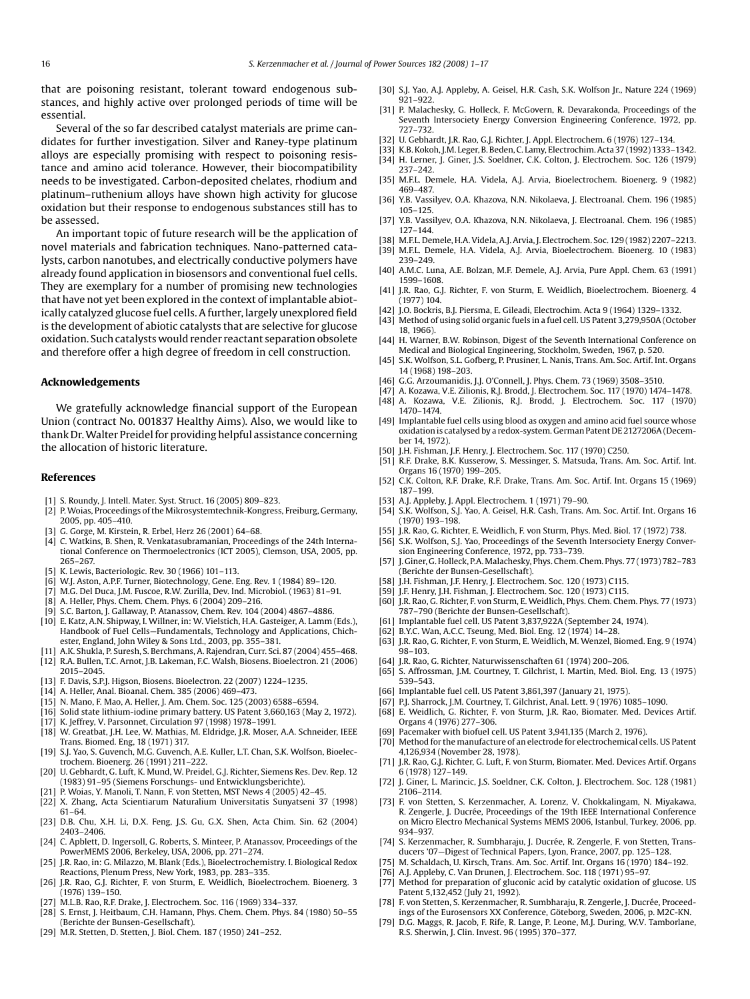<span id="page-15-0"></span>that are poisoning resistant, tolerant toward endogenous substances, and highly active over prolonged periods of time will be essential.

Several of the so far described catalyst materials are prime candidates for further investigation. Silver and Raney-type platinum alloys are especially promising with respect to poisoning resistance and amino acid tolerance. However, their biocompatibility needs to be investigated. Carbon-deposited chelates, rhodium and platinum–ruthenium alloys have shown high activity for glucose oxidation but their response to endogenous substances still has to be assessed.

An important topic of future research will be the application of novel materials and fabrication techniques. Nano-patterned catalysts, carbon nanotubes, and electrically conductive polymers have already found application in biosensors and conventional fuel cells. They are exemplary for a number of promising new technologies that have not yet been explored in the context of implantable abiotically catalyzed glucose fuel cells. A further, largely unexplored field is the development of abiotic catalysts that are selective for glucose oxidation. Such catalysts would render reactant separation obsolete and therefore offer a high degree of freedom in cell construction.

#### **Acknowledgements**

We gratefully acknowledge financial support of the European Union (contract No. 001837 Healthy Aims). Also, we would like to thank Dr.Walter Preidel for providing helpful assistance concerning the allocation of historic literature.

#### **References**

- [1] S. Roundy, J. Intell. Mater. Syst. Struct. 16 (2005) 809–823.
- [2] P. Woias, Proceedings of the Mikrosystemtechnik-Kongress, Freiburg, Germany, 2005, pp. 405–410.
- [3] G. Gorge, M. Kirstein, R. Erbel, Herz 26 (2001) 64–68.
- [4] C. Watkins, B. Shen, R. Venkatasubramanian, Proceedings of the 24th International Conference on Thermoelectronics (ICT 2005), Clemson, USA, 2005, pp. 265–267.
- [5] K. Lewis, Bacteriologic. Rev. 30 (1966) 101–113.
- [6] W.J. Aston, A.P.F. Turner, Biotechnology, Gene. Eng. Rev. 1 (1984) 89–120.
- [7] M.G. Del Duca, J.M. Fuscoe, R.W. Zurilla, Dev. Ind. Microbiol. (1963) 81–91.
- [8] A. Heller, Phys. Chem. Chem. Phys. 6 (2004) 209–216.
- [9] S.C. Barton, J. Gallaway, P. Atanassov, Chem. Rev. 104 (2004) 4867–4886.
- [10] E. Katz, A.N. Shipway, I. Willner, in: W. Vielstich, H.A. Gasteiger, A. Lamm (Eds.), Handbook of Fuel Cells—Fundamentals, Technology and Applications, Chichester, England, John Wiley & Sons Ltd., 2003, pp. 355–381.
- [11] A.K. Shukla, P. Suresh, S. Berchmans, A. Rajendran, Curr. Sci. 87 (2004) 455–468.
- [12] R.A. Bullen, T.C. Arnot, J.B. Lakeman, F.C. Walsh, Biosens. Bioelectron. 21 (2006) 2015–2045.
- [13] F. Davis, S.P.J. Higson, Biosens. Bioelectron. 22 (2007) 1224–1235.
- [14] A. Heller, Anal. Bioanal. Chem. 385 (2006) 469–473.
- [15] N. Mano, F. Mao, A. Heller, J. Am. Chem. Soc. 125 (2003) 6588–6594.
- [16] Solid state lithium-iodine primary battery. US Patent 3,660,163 (May 2, 1972).
- [17] K. Jeffrey, V. Parsonnet, Circulation 97 (1998) 1978–1991.
- [18] W. Greatbat, J.H. Lee, W. Mathias, M. Eldridge, J.R. Moser, A.A. Schneider, IEEE Trans. Biomed. Eng, 18 (1971) 317.
- [19] S.J. Yao, S. Guvench, M.G. Guvench, A.E. Kuller, L.T. Chan, S.K. Wolfson, Bioelectrochem. Bioenerg. 26 (1991) 211–222.
- [20] U. Gebhardt, G. Luft, K. Mund, W. Preidel, G.J. Richter, Siemens Res. Dev. Rep. 12 (1983) 91–95 (Siemens Forschungs- und Entwicklungsberichte).
- [21] P. Woias, Y. Manoli, T. Nann, F. von Stetten, MST News 4 (2005) 42–45.
- [22] X. Zhang, Acta Scientiarum Naturalium Universitatis Sunyatseni 37 (1998) 61–64.
- [23] D.B. Chu, X.H. Li, D.X. Feng, J.S. Gu, G.X. Shen, Acta Chim. Sin. 62 (2004) 2403–2406.
- [24] C. Apblett, D. Ingersoll, G. Roberts, S. Minteer, P. Atanassov, Proceedings of the PowerMEMS 2006, Berkeley, USA, 2006, pp. 271–274.
- [25] J.R. Rao, in: G. Milazzo, M. Blank (Eds.), Bioelectrochemistry. I. Biological Redox Reactions, Plenum Press, New York, 1983, pp. 283–335.
- [26] J.R. Rao, G.J. Richter, F. von Sturm, E. Weidlich, Bioelectrochem. Bioenerg. 3 (1976) 139–150.
- [27] M.L.B. Rao, R.F. Drake, J. Electrochem. Soc. 116 (1969) 334–337.
- [28] S. Ernst, J. Heitbaum, C.H. Hamann, Phys. Chem. Chem. Phys. 84 (1980) 50–55 (Berichte der Bunsen-Gesellschaft).
- [29] M.R. Stetten, D. Stetten, J. Biol. Chem. 187 (1950) 241–252.
- [30] S.J. Yao, A.J. Appleby, A. Geisel, H.R. Cash, S.K. Wolfson Jr., Nature 224 (1969) 921–922.
- [31] P. Malachesky, G. Holleck, F. McGovern, R. Devarakonda, Proceedings of the Seventh Intersociety Energy Conversion Engineering Conference, 1972, pp. 727–732.
- [32] U. Gebhardt, J.R. Rao, G.J. Richter, J. Appl. Electrochem. 6 (1976) 127–134.
- [33] K.B. Kokoh, J.M. Leger, B. Beden, C. Lamy, Electrochim. Acta 37 (1992) 1333–1342. [34] H. Lerner, J. Giner, J.S. Soeldner, C.K. Colton, J. Electrochem. Soc. 126 (1979) 237–242.
- [35] M.F.L. Demele, H.A. Videla, A.J. Arvia, Bioelectrochem. Bioenerg. 9 (1982) 469–487.
- [36] Y.B. Vassilyev, O.A. Khazova, N.N. Nikolaeva, J. Electroanal. Chem. 196 (1985) 105–125.
- [37] Y.B. Vassilyev, O.A. Khazova, N.N. Nikolaeva, J. Electroanal. Chem. 196 (1985) 127–144.
- [38] M.F.L. Demele, H.A. Videla, A.J. Arvia, J. Electrochem. Soc. 129 (1982) 2207–2213.
- [39] M.F.L. Demele, H.A. Videla, A.J. Arvia, Bioelectrochem. Bioenerg. 10 (1983) 239–249.
- [40] A.M.C. Luna, A.E. Bolzan, M.F. Demele, A.J. Arvia, Pure Appl. Chem. 63 (1991) 1599–1608.
- [41] J.R. Rao, G.J. Richter, F. von Sturm, E. Weidlich, Bioelectrochem. Bioenerg. 4 (1977) 104.
- [42] J.O. Bockris, B.J. Piersma, E. Gileadi, Electrochim. Acta 9 (1964) 1329–1332.
- [43] Method of using solid organic fuels in a fuel cell. US Patent 3,279,950A (October 18, 1966).
- [44] H. Warner, B.W. Robinson, Digest of the Seventh International Conference on Medical and Biological Engineering, Stockholm, Sweden, 1967, p. 520.
- [45] S.K. Wolfson, S.L. Gofberg, P. Prusiner, L. Nanis, Trans. Am. Soc. Artif. Int. Organs 14 (1968) 198–203.
- [46] G.G. Arzoumanidis, J.J. O'Connell, J. Phys. Chem. 73 (1969) 3508–3510.
- [47] A. Kozawa, V.E. Zilionis, R.J. Brodd, J. Electrochem. Soc. 117 (1970) 1474–1478.
- [48] A. Kozawa, V.E. Zilionis, R.J. Brodd, J. Electrochem. Soc. 117 (1970) 1470–1474.
- [49] Implantable fuel cells using blood as oxygen and amino acid fuel source whose oxidation is catalysed by a redox-system. German Patent DE 2127206A (December 14, 1972).
- [50] J.H. Fishman, J.F. Henry, J. Electrochem. Soc. 117 (1970) C250.
- [51] R.F. Drake, B.K. Kusserow, S. Messinger, S. Matsuda, Trans. Am. Soc. Artif. Int. Organs 16 (1970) 199–205.
- [52] C.K. Colton, R.F. Drake, R.F. Drake, Trans. Am. Soc. Artif. Int. Organs 15 (1969) 187–199.
- [53] A.J. Appleby, J. Appl. Electrochem. 1 (1971) 79–90.
- [54] S.K. Wolfson, S.J. Yao, A. Geisel, H.R. Cash, Trans. Am. Soc. Artif. Int. Organs 16 (1970) 193–198.
- [55] J.R. Rao, G. Richter, E. Weidlich, F. von Sturm, Phys. Med. Biol. 17 (1972) 738.
- [56] S.K. Wolfson, S.J. Yao, Proceedings of the Seventh Intersociety Energy Conversion Engineering Conference, 1972, pp. 733–739.
- [57] J. Giner, G. Holleck, P.A.Malachesky, Phys. Chem. Chem. Phys. 77 (1973) 782–783 (Berichte der Bunsen-Gesellschaft).
- [58] J.H. Fishman, J.F. Henry, J. Electrochem. Soc. 120 (1973) C115.
- [59] J.F. Henry, J.H. Fishman, J. Electrochem. Soc. 120 (1973) C115. [60] J.R. Rao, G. Richter, F. von Sturm, E. Weidlich, Phys. Chem. Chem. Phys. 77 (1973)
- 787–790 (Berichte der Bunsen-Gesellschaft).
- [61] Implantable fuel cell. US Patent 3,837,922A (September 24, 1974).
- [62] B.Y.C. Wan, A.C.C. Tseung, Med. Biol. Eng. 12 (1974) 14–28. [63] J.R. Rao, G. Richter, F. von Sturm, E. Weidlich, M. Wenzel, Biomed. Eng. 9 (1974) 98–103.
- [64] J.R. Rao, G. Richter, Naturwissenschaften 61 (1974) 200–206.
- [65] S. Affrossman, J.M. Courtney, T. Gilchrist, I. Martin, Med. Biol. Eng. 13 (1975) 539–543.
- [66] Implantable fuel cell. US Patent 3,861,397 (January 21, 1975).
- [67] P.J. Sharrock, J.M. Courtney, T. Gilchrist, Anal. Lett. 9 (1976) 1085–1090.
- [68] E. Weidlich, G. Richter, F. von Sturm, J.R. Rao, Biomater. Med. Devices Artif. Organs 4 (1976) 277–306.
- [69] Pacemaker with biofuel cell. US Patent 3,941,135 (March 2, 1976)
- [70] Method for the manufacture of an electrode for electrochemical cells. US Patent 4,126,934 (November 28, 1978).
- [71] J.R. Rao, G.J. Richter, G. Luft, F. von Sturm, Biomater. Med. Devices Artif. Organs 6 (1978) 127–149.
- [72] J. Giner, L. Marincic, J.S. Soeldner, C.K. Colton, J. Electrochem. Soc. 128 (1981) 2106–2114.
- [73] F. von Stetten, S. Kerzenmacher, A. Lorenz, V. Chokkalingam, N. Miyakawa, R. Zengerle, J. Ducrée, Proceedings of the 19th IEEE International Conference on Micro Electro Mechanical Systems MEMS 2006, Istanbul, Turkey, 2006, pp. 934–937.
- [74] S. Kerzenmacher, R. Sumbharaju, J. Ducrée, R. Zengerle, F. von Stetten, Transducers '07—Digest of Technical Papers, Lyon, France, 2007, pp. 125–128.
- [75] M. Schaldach, U. Kirsch, Trans. Am. Soc. Artif. Int. Organs 16 (1970) 184–192.
- [76] A.J. Appleby, C. Van Drunen, J. Electrochem. Soc. 118 (1971) 95–97. [77] Method for preparation of gluconic acid by catalytic oxidation of glucose. US
- Patent 5,132,452 (July 21, 1992).
- [78] F. von Stetten, S. Kerzenmacher, R. Sumbharaju, R. Zengerle, J. Ducrée, Proceedings of the Eurosensors XX Conference, Göteborg, Sweden, 2006, p. M2C-KN.
- [79] D.G. Maggs, R. Jacob, F. Rife, R. Lange, P. Leone, M.J. During, W.V. Tamborlane, R.S. Sherwin, J. Clin. Invest. 96 (1995) 370–377.